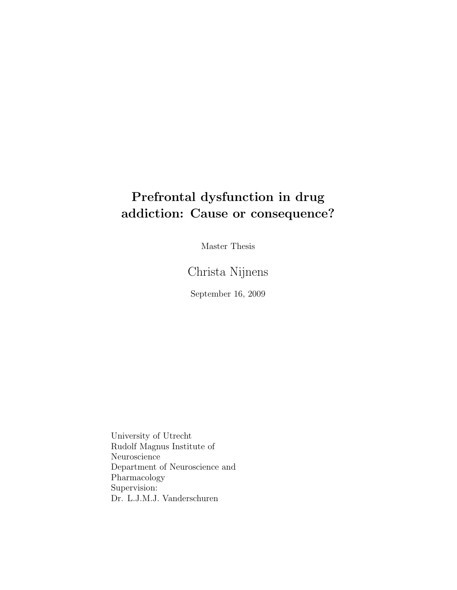## Prefrontal dysfunction in drug addiction: Cause or consequence?

Master Thesis

Christa Nijnens

September 16, 2009

University of Utrecht Rudolf Magnus Institute of Neuroscience Department of Neuroscience and Pharmacology Supervision: Dr. L.J.M.J. Vanderschuren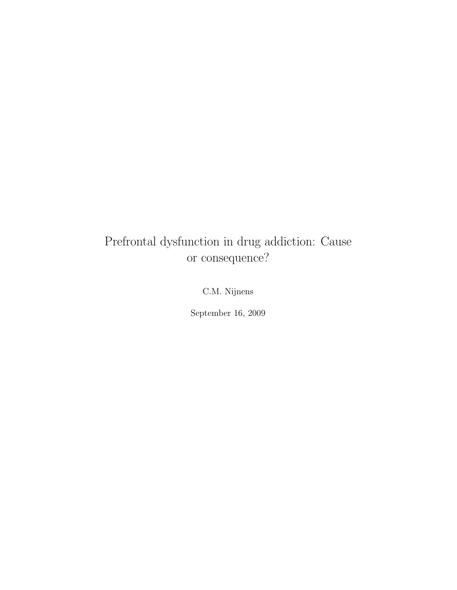## Prefrontal dysfunction in drug addiction: Cause or consequence?

C.M. Nijnens

September 16, 2009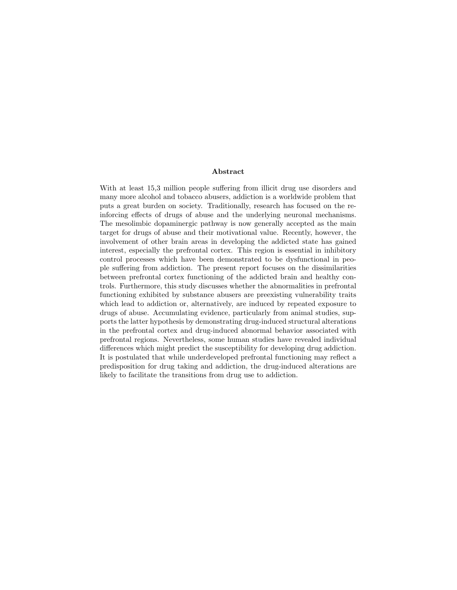#### Abstract

With at least  $15,3$  million people suffering from illicit drug use disorders and many more alcohol and tobacco abusers, addiction is a worldwide problem that puts a great burden on society. Traditionally, research has focused on the reinforcing effects of drugs of abuse and the underlying neuronal mechanisms. The mesolimbic dopaminergic pathway is now generally accepted as the main target for drugs of abuse and their motivational value. Recently, however, the involvement of other brain areas in developing the addicted state has gained interest, especially the prefrontal cortex. This region is essential in inhibitory control processes which have been demonstrated to be dysfunctional in people suffering from addiction. The present report focuses on the dissimilarities between prefrontal cortex functioning of the addicted brain and healthy controls. Furthermore, this study discusses whether the abnormalities in prefrontal functioning exhibited by substance abusers are preexisting vulnerability traits which lead to addiction or, alternatively, are induced by repeated exposure to drugs of abuse. Accumulating evidence, particularly from animal studies, supports the latter hypothesis by demonstrating drug-induced structural alterations in the prefrontal cortex and drug-induced abnormal behavior associated with prefrontal regions. Nevertheless, some human studies have revealed individual differences which might predict the susceptibility for developing drug addiction. It is postulated that while underdeveloped prefrontal functioning may reflect a predisposition for drug taking and addiction, the drug-induced alterations are likely to facilitate the transitions from drug use to addiction.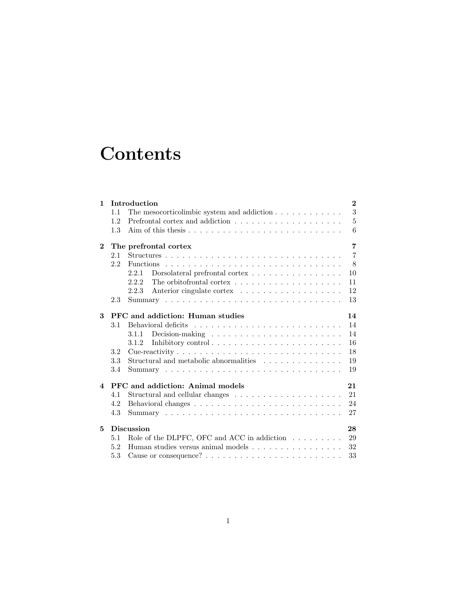# **Contents**

| $\mathbf{1}$            |     | Introduction                                                                       | $\bf{2}$       |
|-------------------------|-----|------------------------------------------------------------------------------------|----------------|
|                         | 1.1 | The mesocorticolimbic system and addiction $\ldots \ldots \ldots \ldots$           | $\sqrt{3}$     |
|                         | 1.2 |                                                                                    | $\overline{5}$ |
|                         | 1.3 |                                                                                    | 6              |
| $\mathbf{2}$            |     | The prefrontal cortex                                                              | 7              |
|                         | 2.1 |                                                                                    | $\overline{7}$ |
|                         | 2.2 |                                                                                    | 8              |
|                         |     | 2.2.1<br>Dorsolateral prefrontal cortex $\dots \dots \dots \dots \dots \dots$      | 10             |
|                         |     | 2.2.2<br>The orbit of rontal cortex $\dots \dots \dots \dots \dots \dots \dots$    | 11             |
|                         |     | 2.2.3                                                                              | 12             |
|                         | 2.3 |                                                                                    | 13             |
| 3                       |     | PFC and addiction: Human studies                                                   | 14             |
|                         | 3.1 |                                                                                    | 14             |
|                         |     | Decision-making $\ldots \ldots \ldots \ldots \ldots \ldots \ldots$<br>3.1.1        | 14             |
|                         |     | 3.1.2                                                                              | 16             |
|                         | 3.2 |                                                                                    | 18             |
|                         | 3.3 | Structural and metabolic abnormalities                                             | 19             |
|                         | 3.4 |                                                                                    | 19             |
| $\overline{\mathbf{4}}$ |     | PFC and addiction: Animal models                                                   | 21             |
|                         | 4.1 |                                                                                    | 21             |
|                         | 4.2 |                                                                                    | 24             |
|                         | 4.3 |                                                                                    | 27             |
| 5                       |     | <b>Discussion</b>                                                                  | 28             |
|                         | 5.1 | Role of the DLPFC, OFC and ACC in addiction $\ldots \ldots \ldots$                 | 29             |
|                         | 5.2 | Human studies versus animal models $\dots$ , $\dots$ , $\dots$ , $\dots$ , $\dots$ | 32             |
|                         | 5.3 |                                                                                    | 33             |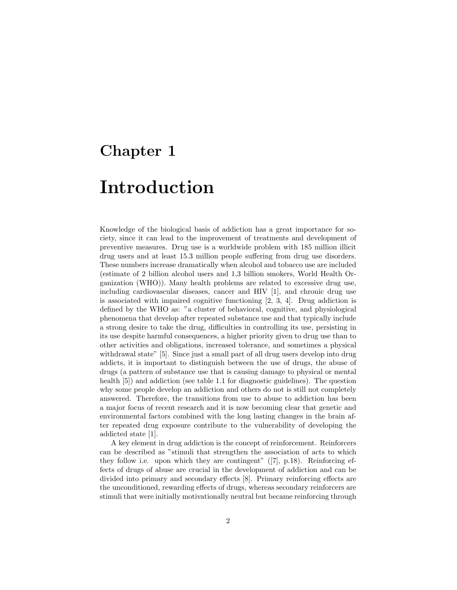## Chapter 1

# Introduction

Knowledge of the biological basis of addiction has a great importance for society, since it can lead to the improvement of treatments and development of preventive measures. Drug use is a worldwide problem with 185 million illicit drug users and at least 15.3 million people suffering from drug use disorders. These numbers increase dramatically when alcohol and tobacco use are included (estimate of 2 billion alcohol users and 1,3 billion smokers, World Health Organization (WHO)). Many health problems are related to excessive drug use, including cardiovascular diseases, cancer and HIV [1], and chronic drug use is associated with impaired cognitive functioning [2, 3, 4]. Drug addiction is defined by the WHO as: "a cluster of behavioral, cognitive, and physiological phenomena that develop after repeated substance use and that typically include a strong desire to take the drug, difficulties in controlling its use, persisting in its use despite harmful consequences, a higher priority given to drug use than to other activities and obligations, increased tolerance, and sometimes a physical withdrawal state" [5]. Since just a small part of all drug users develop into drug addicts, it is important to distinguish between the use of drugs, the abuse of drugs (a pattern of substance use that is causing damage to physical or mental health [5]) and addiction (see table 1.1 for diagnostic guidelines). The question why some people develop an addiction and others do not is still not completely answered. Therefore, the transitions from use to abuse to addiction has been a major focus of recent research and it is now becoming clear that genetic and environmental factors combined with the long lasting changes in the brain after repeated drug exposure contribute to the vulnerability of developing the addicted state [1].

A key element in drug addiction is the concept of reinforcement. Reinforcers can be described as "stimuli that strengthen the association of acts to which they follow i.e. upon which they are contingent" ([7], p.18). Reinforcing effects of drugs of abuse are crucial in the development of addiction and can be divided into primary and secondary effects [8]. Primary reinforcing effects are the unconditioned, rewarding effects of drugs, whereas secondary reinforcers are stimuli that were initially motivationally neutral but became reinforcing through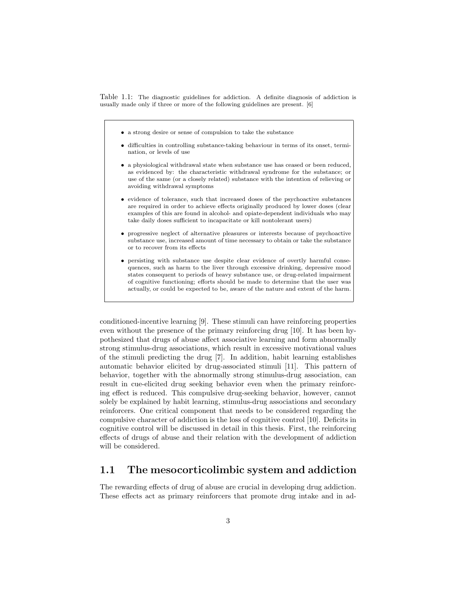Table 1.1: The diagnostic guidelines for addiction. A definite diagnosis of addiction is usually made only if three or more of the following guidelines are present. [6]

- a strong desire or sense of compulsion to take the substance
- difficulties in controlling substance-taking behaviour in terms of its onset, termination, or levels of use
- a physiological withdrawal state when substance use has ceased or been reduced, as evidenced by: the characteristic withdrawal syndrome for the substance; or use of the same (or a closely related) substance with the intention of relieving or avoiding withdrawal symptoms
- evidence of tolerance, such that increased doses of the psychoactive substances are required in order to achieve effects originally produced by lower doses (clear examples of this are found in alcohol- and opiate-dependent individuals who may take daily doses sufficient to incapacitate or kill nontolerant users)
- progressive neglect of alternative pleasures or interests because of psychoactive substance use, increased amount of time necessary to obtain or take the substance or to recover from its effects
- persisting with substance use despite clear evidence of overtly harmful consequences, such as harm to the liver through excessive drinking, depressive mood states consequent to periods of heavy substance use, or drug-related impairment of cognitive functioning; efforts should be made to determine that the user was actually, or could be expected to be, aware of the nature and extent of the harm.

conditioned-incentive learning [9]. These stimuli can have reinforcing properties even without the presence of the primary reinforcing drug [10]. It has been hypothesized that drugs of abuse affect associative learning and form abnormally strong stimulus-drug associations, which result in excessive motivational values of the stimuli predicting the drug [7]. In addition, habit learning establishes automatic behavior elicited by drug-associated stimuli [11]. This pattern of behavior, together with the abnormally strong stimulus-drug association, can result in cue-elicited drug seeking behavior even when the primary reinforcing effect is reduced. This compulsive drug-seeking behavior, however, cannot solely be explained by habit learning, stimulus-drug associations and secondary reinforcers. One critical component that needs to be considered regarding the compulsive character of addiction is the loss of cognitive control [10]. Deficits in cognitive control will be discussed in detail in this thesis. First, the reinforcing effects of drugs of abuse and their relation with the development of addiction will be considered.

#### 1.1 The mesocorticolimbic system and addiction

The rewarding effects of drug of abuse are crucial in developing drug addiction. These effects act as primary reinforcers that promote drug intake and in ad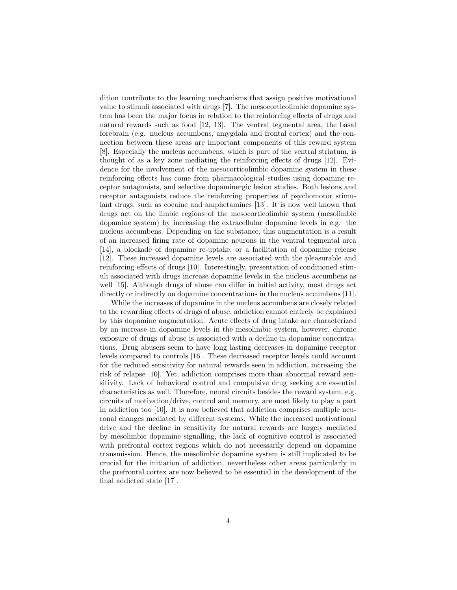dition contribute to the learning mechanisms that assign positive motivational value to stimuli associated with drugs [7]. The mesocorticolimbic dopamine system has been the major focus in relation to the reinforcing effects of drugs and natural rewards such as food [12, 13]. The ventral tegmental area, the basal forebrain (e.g. nucleus accumbens, amygdala and frontal cortex) and the connection between these areas are important components of this reward system [8]. Especially the nucleus accumbens, which is part of the ventral striatum, is thought of as a key zone mediating the reinforcing effects of drugs [12]. Evidence for the involvement of the mesocorticolimbic dopamine system in these reinforcing effects has come from pharmacological studies using dopamine receptor antagonists, and selective dopaminergic lesion studies. Both lesions and receptor antagonists reduce the reinforcing properties of psychomotor stimulant drugs, such as cocaine and amphetamines [13]. It is now well known that drugs act on the limbic regions of the mesocorticolimbic system (mesolimbic dopamine system) by increasing the extracellular dopamine levels in e.g. the nucleus accumbens. Depending on the substance, this augmentation is a result of an increased firing rate of dopamine neurons in the ventral tegmental area [14], a blockade of dopamine re-uptake, or a facilitation of dopamine release [12]. These increased dopamine levels are associated with the pleasurable and reinforcing effects of drugs [10]. Interestingly, presentation of conditioned stimuli associated with drugs increase dopamine levels in the nucleus accumbens as well [15]. Although drugs of abuse can differ in initial activity, most drugs act directly or indirectly on dopamine concentrations in the nucleus accumbens [11].

While the increases of dopamine in the nucleus accumbens are closely related to the rewarding effects of drugs of abuse, addiction cannot entirely be explained by this dopamine augmentation. Acute effects of drug intake are characterized by an increase in dopamine levels in the mesolimbic system, however, chronic exposure of drugs of abuse is associated with a decline in dopamine concentrations. Drug abusers seem to have long lasting decreases in dopamine receptor levels compared to controls [16]. These decreased receptor levels could account for the reduced sensitivity for natural rewards seen in addiction, increasing the risk of relapse [10]. Yet, addiction comprises more than abnormal reward sensitivity. Lack of behavioral control and compulsive drug seeking are essential characteristics as well. Therefore, neural circuits besides the reward system, e.g. circuits of motivation/drive, control and memory, are most likely to play a part in addiction too [10]. It is now believed that addiction comprises multiple neuronal changes mediated by different systems. While the increased motivational drive and the decline in sensitivity for natural rewards are largely mediated by mesolimbic dopamine signalling, the lack of cognitive control is associated with prefrontal cortex regions which do not necessarily depend on dopamine transmission. Hence, the mesolimbic dopamine system is still implicated to be crucial for the initiation of addiction, nevertheless other areas particularly in the prefrontal cortex are now believed to be essential in the development of the final addicted state [17].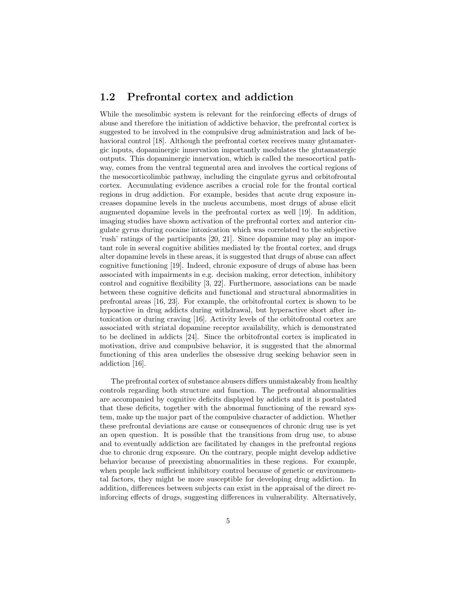#### 1.2 Prefrontal cortex and addiction

While the mesolimbic system is relevant for the reinforcing effects of drugs of abuse and therefore the initiation of addictive behavior, the prefrontal cortex is suggested to be involved in the compulsive drug administration and lack of behavioral control [18]. Although the prefrontal cortex receives many glutamatergic inputs, dopaminergic innervation importantly modulates the glutamatergic outputs. This dopaminergic innervation, which is called the mesocortical pathway, comes from the ventral tegmental area and involves the cortical regions of the mesocorticolimbic pathway, including the cingulate gyrus and orbitofrontal cortex. Accumulating evidence ascribes a crucial role for the frontal cortical regions in drug addiction. For example, besides that acute drug exposure increases dopamine levels in the nucleus accumbens, most drugs of abuse elicit augmented dopamine levels in the prefrontal cortex as well [19]. In addition, imaging studies have shown activation of the prefrontal cortex and anterior cingulate gyrus during cocaine intoxication which was correlated to the subjective 'rush' ratings of the participants [20, 21]. Since dopamine may play an important role in several cognitive abilities mediated by the frontal cortex, and drugs alter dopamine levels in these areas, it is suggested that drugs of abuse can affect cognitive functioning [19]. Indeed, chronic exposure of drugs of abuse has been associated with impairments in e.g. decision making, error detection, inhibitory control and cognitive flexibility [3, 22]. Furthermore, associations can be made between these cognitive deficits and functional and structural abnormalities in prefrontal areas [16, 23]. For example, the orbitofrontal cortex is shown to be hypoactive in drug addicts during withdrawal, but hyperactive short after intoxication or during craving [16]. Activity levels of the orbitofrontal cortex are associated with striatal dopamine receptor availability, which is demonstrated to be declined in addicts [24]. Since the orbitofrontal cortex is implicated in motivation, drive and compulsive behavior, it is suggested that the abnormal functioning of this area underlies the obsessive drug seeking behavior seen in addiction [16].

The prefrontal cortex of substance abusers differs unmistakeably from healthy controls regarding both structure and function. The prefrontal abnormalities are accompanied by cognitive deficits displayed by addicts and it is postulated that these deficits, together with the abnormal functioning of the reward system, make up the major part of the compulsive character of addiction. Whether these prefrontal deviations are cause or consequences of chronic drug use is yet an open question. It is possible that the transitions from drug use, to abuse and to eventually addiction are facilitated by changes in the prefrontal regions due to chronic drug exposure. On the contrary, people might develop addictive behavior because of preexisting abnormalities in these regions. For example, when people lack sufficient inhibitory control because of genetic or environmental factors, they might be more susceptible for developing drug addiction. In addition, differences between subjects can exist in the appraisal of the direct reinforcing effects of drugs, suggesting differences in vulnerability. Alternatively,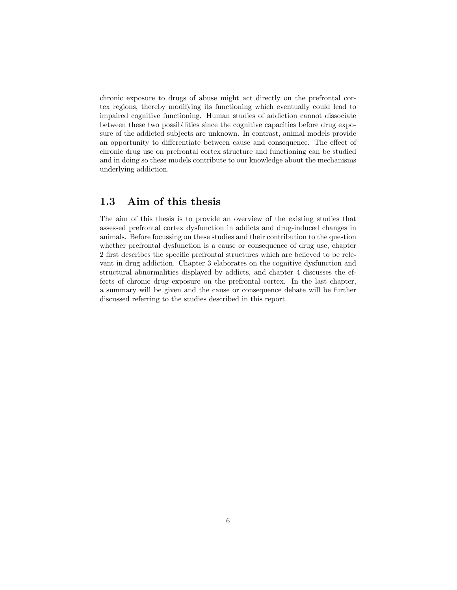chronic exposure to drugs of abuse might act directly on the prefrontal cortex regions, thereby modifying its functioning which eventually could lead to impaired cognitive functioning. Human studies of addiction cannot dissociate between these two possibilities since the cognitive capacities before drug exposure of the addicted subjects are unknown. In contrast, animal models provide an opportunity to differentiate between cause and consequence. The effect of chronic drug use on prefrontal cortex structure and functioning can be studied and in doing so these models contribute to our knowledge about the mechanisms underlying addiction.

#### 1.3 Aim of this thesis

The aim of this thesis is to provide an overview of the existing studies that assessed prefrontal cortex dysfunction in addicts and drug-induced changes in animals. Before focussing on these studies and their contribution to the question whether prefrontal dysfunction is a cause or consequence of drug use, chapter 2 first describes the specific prefrontal structures which are believed to be relevant in drug addiction. Chapter 3 elaborates on the cognitive dysfunction and structural abnormalities displayed by addicts, and chapter 4 discusses the effects of chronic drug exposure on the prefrontal cortex. In the last chapter, a summary will be given and the cause or consequence debate will be further discussed referring to the studies described in this report.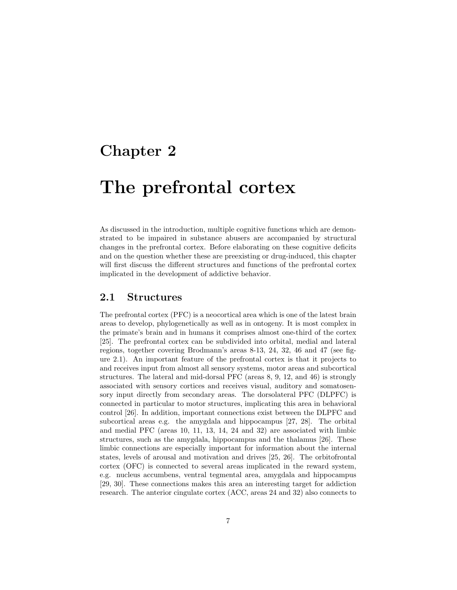## Chapter 2

# The prefrontal cortex

As discussed in the introduction, multiple cognitive functions which are demonstrated to be impaired in substance abusers are accompanied by structural changes in the prefrontal cortex. Before elaborating on these cognitive deficits and on the question whether these are preexisting or drug-induced, this chapter will first discuss the different structures and functions of the prefrontal cortex implicated in the development of addictive behavior.

#### 2.1 Structures

The prefrontal cortex (PFC) is a neocortical area which is one of the latest brain areas to develop, phylogenetically as well as in ontogeny. It is most complex in the primate's brain and in humans it comprises almost one-third of the cortex [25]. The prefrontal cortex can be subdivided into orbital, medial and lateral regions, together covering Brodmann's areas 8-13, 24, 32, 46 and 47 (see figure 2.1). An important feature of the prefrontal cortex is that it projects to and receives input from almost all sensory systems, motor areas and subcortical structures. The lateral and mid-dorsal PFC (areas 8, 9, 12, and 46) is strongly associated with sensory cortices and receives visual, auditory and somatosensory input directly from secondary areas. The dorsolateral PFC (DLPFC) is connected in particular to motor structures, implicating this area in behavioral control [26]. In addition, important connections exist between the DLPFC and subcortical areas e.g. the amygdala and hippocampus [27, 28]. The orbital and medial PFC (areas 10, 11, 13, 14, 24 and 32) are associated with limbic structures, such as the amygdala, hippocampus and the thalamus [26]. These limbic connections are especially important for information about the internal states, levels of arousal and motivation and drives [25, 26]. The orbitofrontal cortex (OFC) is connected to several areas implicated in the reward system, e.g. nucleus accumbens, ventral tegmental area, amygdala and hippocampus [29, 30]. These connections makes this area an interesting target for addiction research. The anterior cingulate cortex (ACC, areas 24 and 32) also connects to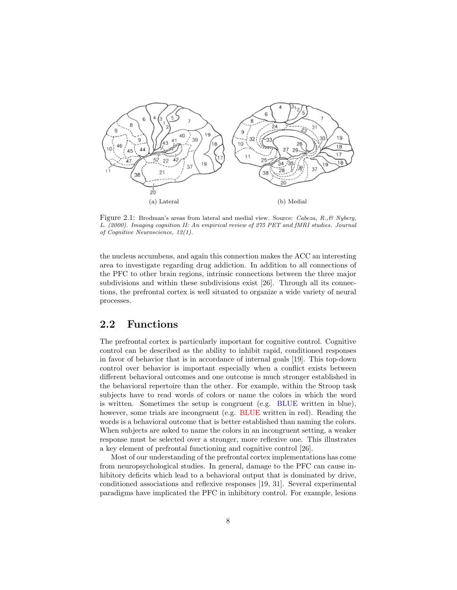

Figure 2.1: Brodman's areas from lateral and medial view. Source: Cabeza, R., & Nyberg, L. (2000). Imaging cognition II: An empirical review of 275 PET and fMRI studies. Journal of Cognitive Neuroscience, 12(1).

the nucleus accumbens, and again this connection makes the ACC an interesting area to investigate regarding drug addiction. In addition to all connections of the PFC to other brain regions, intrinsic connections between the three major subdivisions and within these subdivisions exist [26]. Through all its connections, the prefrontal cortex is well situated to organize a wide variety of neural processes.

#### 2.2 Functions

The prefrontal cortex is particularly important for cognitive control. Cognitive control can be described as the ability to inhibit rapid, conditioned responses in favor of behavior that is in accordance of internal goals [19]. This top-down control over behavior is important especially when a conflict exists between different behavioral outcomes and one outcome is much stronger established in the behavioral repertoire than the other. For example, within the Stroop task subjects have to read words of colors or name the colors in which the word is written. Sometimes the setup is congruent (e.g. BLUE written in blue), however, some trials are incongruent (e.g. BLUE written in red). Reading the words is a behavioral outcome that is better established than naming the colors. When subjects are asked to name the colors in an incongruent setting, a weaker response must be selected over a stronger, more reflexive one. This illustrates a key element of prefrontal functioning and cognitive control [26].

Most of our understanding of the prefrontal cortex implementations has come from neuropsychological studies. In general, damage to the PFC can cause inhibitory deficits which lead to a behavioral output that is dominated by drive, conditioned associations and reflexive responses [19, 31]. Several experimental paradigms have implicated the PFC in inhibitory control. For example, lesions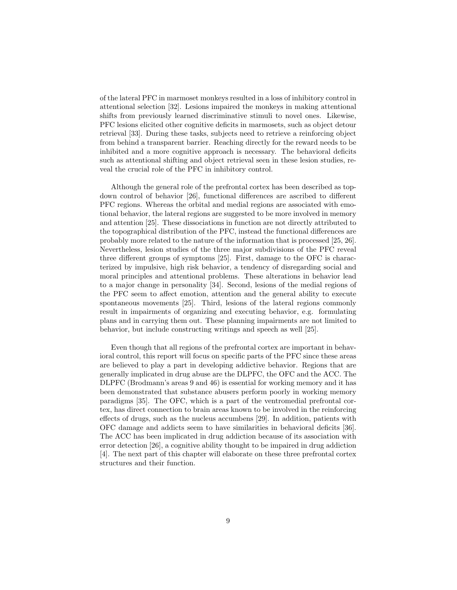of the lateral PFC in marmoset monkeys resulted in a loss of inhibitory control in attentional selection [32]. Lesions impaired the monkeys in making attentional shifts from previously learned discriminative stimuli to novel ones. Likewise, PFC lesions elicited other cognitive deficits in marmosets, such as object detour retrieval [33]. During these tasks, subjects need to retrieve a reinforcing object from behind a transparent barrier. Reaching directly for the reward needs to be inhibited and a more cognitive approach is necessary. The behavioral deficits such as attentional shifting and object retrieval seen in these lesion studies, reveal the crucial role of the PFC in inhibitory control.

Although the general role of the prefrontal cortex has been described as topdown control of behavior [26], functional differences are ascribed to different PFC regions. Whereas the orbital and medial regions are associated with emotional behavior, the lateral regions are suggested to be more involved in memory and attention [25]. These dissociations in function are not directly attributed to the topographical distribution of the PFC, instead the functional differences are probably more related to the nature of the information that is processed [25, 26]. Nevertheless, lesion studies of the three major subdivisions of the PFC reveal three different groups of symptoms [25]. First, damage to the OFC is characterized by impulsive, high risk behavior, a tendency of disregarding social and moral principles and attentional problems. These alterations in behavior lead to a major change in personality [34]. Second, lesions of the medial regions of the PFC seem to affect emotion, attention and the general ability to execute spontaneous movements [25]. Third, lesions of the lateral regions commonly result in impairments of organizing and executing behavior, e.g. formulating plans and in carrying them out. These planning impairments are not limited to behavior, but include constructing writings and speech as well [25].

Even though that all regions of the prefrontal cortex are important in behavioral control, this report will focus on specific parts of the PFC since these areas are believed to play a part in developing addictive behavior. Regions that are generally implicated in drug abuse are the DLPFC, the OFC and the ACC. The DLPFC (Brodmann's areas 9 and 46) is essential for working memory and it has been demonstrated that substance abusers perform poorly in working memory paradigms [35]. The OFC, which is a part of the ventromedial prefrontal cortex, has direct connection to brain areas known to be involved in the reinforcing effects of drugs, such as the nucleus accumbens [29]. In addition, patients with OFC damage and addicts seem to have similarities in behavioral deficits [36]. The ACC has been implicated in drug addiction because of its association with error detection [26], a cognitive ability thought to be impaired in drug addiction [4]. The next part of this chapter will elaborate on these three prefrontal cortex structures and their function.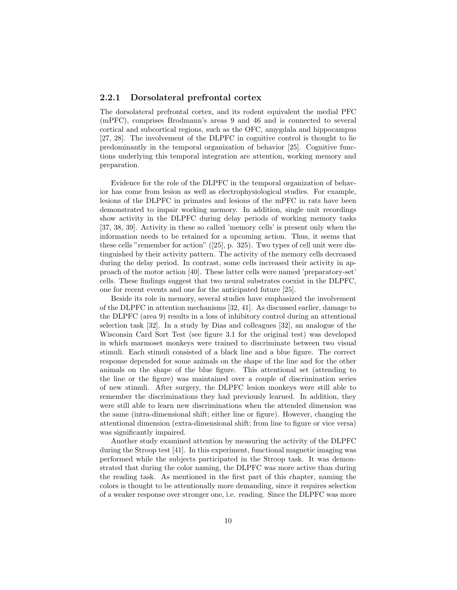#### 2.2.1 Dorsolateral prefrontal cortex

The dorsolateral prefrontal cortex, and its rodent equivalent the medial PFC (mPFC), comprises Brodmann's areas 9 and 46 and is connected to several cortical and subcortical regions, such as the OFC, amygdala and hippocampus [27, 28]. The involvement of the DLPFC in cognitive control is thought to lie predominantly in the temporal organization of behavior [25]. Cognitive functions underlying this temporal integration are attention, working memory and preparation.

Evidence for the role of the DLPFC in the temporal organization of behavior has come from lesion as well as electrophysiological studies. For example, lesions of the DLPFC in primates and lesions of the mPFC in rats have been demonstrated to impair working memory. In addition, single unit recordings show activity in the DLPFC during delay periods of working memory tasks [37, 38, 39]. Activity in these so called 'memory cells' is present only when the information needs to be retained for a upcoming action. Thus, it seems that these cells "remember for action" ([25], p. 325). Two types of cell unit were distinguished by their activity pattern. The activity of the memory cells decreased during the delay period. In contrast, some cells increased their activity in approach of the motor action [40]. These latter cells were named 'preparatory-set' cells. These findings suggest that two neural substrates coexist in the DLPFC, one for recent events and one for the anticipated future [25].

Beside its role in memory, several studies have emphasized the involvement of the DLPFC in attention mechanisms [32, 41]. As discussed earlier, damage to the DLPFC (area 9) results in a loss of inhibitory control during an attentional selection task [32]. In a study by Dias and colleagues [32], an analogue of the Wisconsin Card Sort Test (see figure 3.1 for the original test) was developed in which marmoset monkeys were trained to discriminate between two visual stimuli. Each stimuli consisted of a black line and a blue figure. The correct response depended for some animals on the shape of the line and for the other animals on the shape of the blue figure. This attentional set (attending to the line or the figure) was maintained over a couple of discrimination series of new stimuli. After surgery, the DLPFC lesion monkeys were still able to remember the discriminations they had previously learned. In addition, they were still able to learn new discriminations when the attended dimension was the same (intra-dimensional shift; either line or figure). However, changing the attentional dimension (extra-dimensional shift; from line to figure or vice versa) was significantly impaired.

Another study examined attention by measuring the activity of the DLPFC during the Stroop test [41]. In this experiment, functional magnetic imaging was performed while the subjects participated in the Stroop task. It was demonstrated that during the color naming, the DLPFC was more active than during the reading task. As mentioned in the first part of this chapter, naming the colors is thought to be attentionally more demanding, since it requires selection of a weaker response over stronger one, i.e. reading. Since the DLPFC was more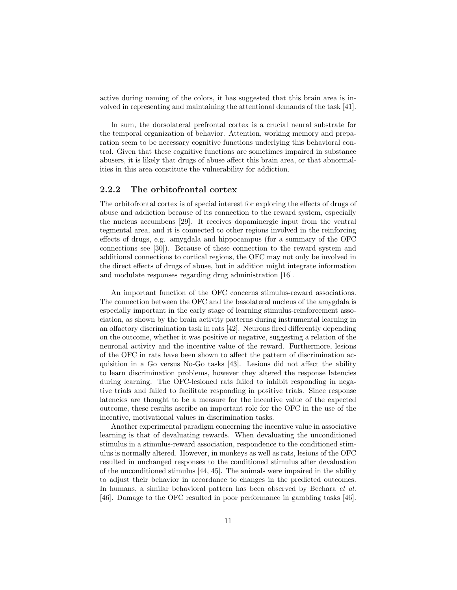active during naming of the colors, it has suggested that this brain area is involved in representing and maintaining the attentional demands of the task [41].

In sum, the dorsolateral prefrontal cortex is a crucial neural substrate for the temporal organization of behavior. Attention, working memory and preparation seem to be necessary cognitive functions underlying this behavioral control. Given that these cognitive functions are sometimes impaired in substance abusers, it is likely that drugs of abuse affect this brain area, or that abnormalities in this area constitute the vulnerability for addiction.

#### 2.2.2 The orbitofrontal cortex

The orbitofrontal cortex is of special interest for exploring the effects of drugs of abuse and addiction because of its connection to the reward system, especially the nucleus accumbens [29]. It receives dopaminergic input from the ventral tegmental area, and it is connected to other regions involved in the reinforcing effects of drugs, e.g. amygdala and hippocampus (for a summary of the OFC connections see [30]). Because of these connection to the reward system and additional connections to cortical regions, the OFC may not only be involved in the direct effects of drugs of abuse, but in addition might integrate information and modulate responses regarding drug administration [16].

An important function of the OFC concerns stimulus-reward associations. The connection between the OFC and the basolateral nucleus of the amygdala is especially important in the early stage of learning stimulus-reinforcement association, as shown by the brain activity patterns during instrumental learning in an olfactory discrimination task in rats [42]. Neurons fired differently depending on the outcome, whether it was positive or negative, suggesting a relation of the neuronal activity and the incentive value of the reward. Furthermore, lesions of the OFC in rats have been shown to affect the pattern of discrimination acquisition in a Go versus No-Go tasks [43]. Lesions did not affect the ability to learn discrimination problems, however they altered the response latencies during learning. The OFC-lesioned rats failed to inhibit responding in negative trials and failed to facilitate responding in positive trials. Since response latencies are thought to be a measure for the incentive value of the expected outcome, these results ascribe an important role for the OFC in the use of the incentive, motivational values in discrimination tasks.

Another experimental paradigm concerning the incentive value in associative learning is that of devaluating rewards. When devaluating the unconditioned stimulus in a stimulus-reward association, respondence to the conditioned stimulus is normally altered. However, in monkeys as well as rats, lesions of the OFC resulted in unchanged responses to the conditioned stimulus after devaluation of the unconditioned stimulus [44, 45]. The animals were impaired in the ability to adjust their behavior in accordance to changes in the predicted outcomes. In humans, a similar behavioral pattern has been observed by Bechara et al. [46]. Damage to the OFC resulted in poor performance in gambling tasks [46].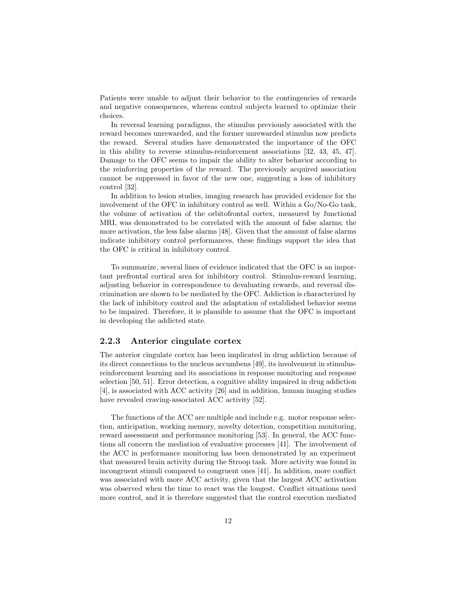Patients were unable to adjust their behavior to the contingencies of rewards and negative consequences, whereas control subjects learned to optimize their choices.

In reversal learning paradigms, the stimulus previously associated with the reward becomes unrewarded, and the former unrewarded stimulus now predicts the reward. Several studies have demonstrated the importance of the OFC in this ability to reverse stimulus-reinforcement associations [32, 43, 45, 47]. Damage to the OFC seems to impair the ability to alter behavior according to the reinforcing properties of the reward. The previously acquired association cannot be suppressed in favor of the new one, suggesting a loss of inhibitory control [32].

In addition to lesion studies, imaging research has provided evidence for the involvement of the OFC in inhibitory control as well. Within a Go/No-Go task, the volume of activation of the orbitofrontal cortex, measured by functional MRI, was demonstrated to be correlated with the amount of false alarms; the more activation, the less false alarms [48]. Given that the amount of false alarms indicate inhibitory control performances, these findings support the idea that the OFC is critical in inhibitory control.

To summarize, several lines of evidence indicated that the OFC is an important prefrontal cortical area for inhibitory control. Stimulus-reward learning, adjusting behavior in correspondence to devaluating rewards, and reversal discrimination are shown to be mediated by the OFC. Addiction is characterized by the lack of inhibitory control and the adaptation of established behavior seems to be impaired. Therefore, it is plausible to assume that the OFC is important in developing the addicted state.

#### 2.2.3 Anterior cingulate cortex

The anterior cingulate cortex has been implicated in drug addiction because of its direct connections to the nucleus accumbens [49], its involvement in stimulusreinforcement learning and its associations in response monitoring and response selection [50, 51]. Error detection, a cognitive ability impaired in drug addiction [4], is associated with ACC activity [26] and in addition, human imaging studies have revealed craving-associated ACC activity [52].

The functions of the ACC are multiple and include e.g. motor response selection, anticipation, working memory, novelty detection, competition monitoring, reward assessment and performance monitoring [53]. In general, the ACC functions all concern the mediation of evaluative processes [41]. The involvement of the ACC in performance monitoring has been demonstrated by an experiment that measured brain activity during the Stroop task. More activity was found in incongruent stimuli compared to congruent ones [41]. In addition, more conflict was associated with more ACC activity, given that the largest ACC activation was observed when the time to react was the longest. Conflict situations need more control, and it is therefore suggested that the control execution mediated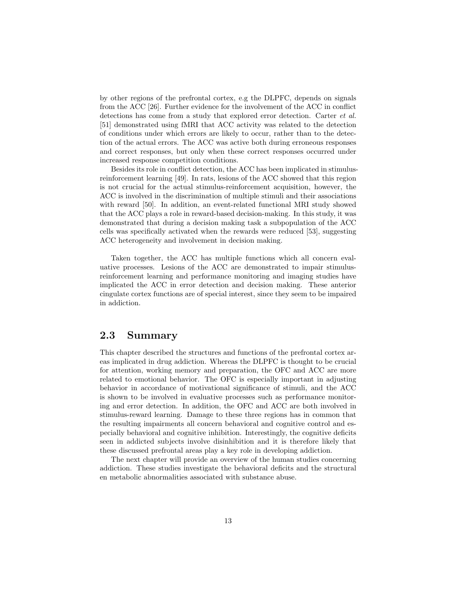by other regions of the prefrontal cortex, e.g the DLPFC, depends on signals from the ACC [26]. Further evidence for the involvement of the ACC in conflict detections has come from a study that explored error detection. Carter et al. [51] demonstrated using fMRI that ACC activity was related to the detection of conditions under which errors are likely to occur, rather than to the detection of the actual errors. The ACC was active both during erroneous responses and correct responses, but only when these correct responses occurred under increased response competition conditions.

Besides its role in conflict detection, the ACC has been implicated in stimulusreinforcement learning [49]. In rats, lesions of the ACC showed that this region is not crucial for the actual stimulus-reinforcement acquisition, however, the ACC is involved in the discrimination of multiple stimuli and their associations with reward [50]. In addition, an event-related functional MRI study showed that the ACC plays a role in reward-based decision-making. In this study, it was demonstrated that during a decision making task a subpopulation of the ACC cells was specifically activated when the rewards were reduced [53], suggesting ACC heterogeneity and involvement in decision making.

Taken together, the ACC has multiple functions which all concern evaluative processes. Lesions of the ACC are demonstrated to impair stimulusreinforcement learning and performance monitoring and imaging studies have implicated the ACC in error detection and decision making. These anterior cingulate cortex functions are of special interest, since they seem to be impaired in addiction.

#### 2.3 Summary

This chapter described the structures and functions of the prefrontal cortex areas implicated in drug addiction. Whereas the DLPFC is thought to be crucial for attention, working memory and preparation, the OFC and ACC are more related to emotional behavior. The OFC is especially important in adjusting behavior in accordance of motivational significance of stimuli, and the ACC is shown to be involved in evaluative processes such as performance monitoring and error detection. In addition, the OFC and ACC are both involved in stimulus-reward learning. Damage to these three regions has in common that the resulting impairments all concern behavioral and cognitive control and especially behavioral and cognitive inhibition. Interestingly, the cognitive deficits seen in addicted subjects involve disinhibition and it is therefore likely that these discussed prefrontal areas play a key role in developing addiction.

The next chapter will provide an overview of the human studies concerning addiction. These studies investigate the behavioral deficits and the structural en metabolic abnormalities associated with substance abuse.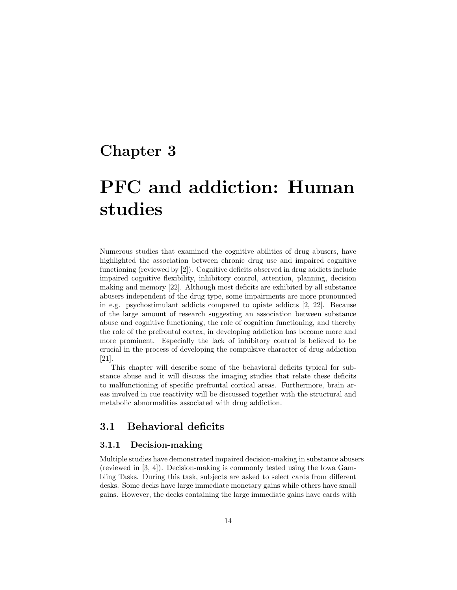### Chapter 3

# PFC and addiction: Human studies

Numerous studies that examined the cognitive abilities of drug abusers, have highlighted the association between chronic drug use and impaired cognitive functioning (reviewed by [2]). Cognitive deficits observed in drug addicts include impaired cognitive flexibility, inhibitory control, attention, planning, decision making and memory [22]. Although most deficits are exhibited by all substance abusers independent of the drug type, some impairments are more pronounced in e.g. psychostimulant addicts compared to opiate addicts [2, 22]. Because of the large amount of research suggesting an association between substance abuse and cognitive functioning, the role of cognition functioning, and thereby the role of the prefrontal cortex, in developing addiction has become more and more prominent. Especially the lack of inhibitory control is believed to be crucial in the process of developing the compulsive character of drug addiction [21].

This chapter will describe some of the behavioral deficits typical for substance abuse and it will discuss the imaging studies that relate these deficits to malfunctioning of specific prefrontal cortical areas. Furthermore, brain areas involved in cue reactivity will be discussed together with the structural and metabolic abnormalities associated with drug addiction.

#### 3.1 Behavioral deficits

#### 3.1.1 Decision-making

Multiple studies have demonstrated impaired decision-making in substance abusers (reviewed in [3, 4]). Decision-making is commonly tested using the Iowa Gambling Tasks. During this task, subjects are asked to select cards from different desks. Some decks have large immediate monetary gains while others have small gains. However, the decks containing the large immediate gains have cards with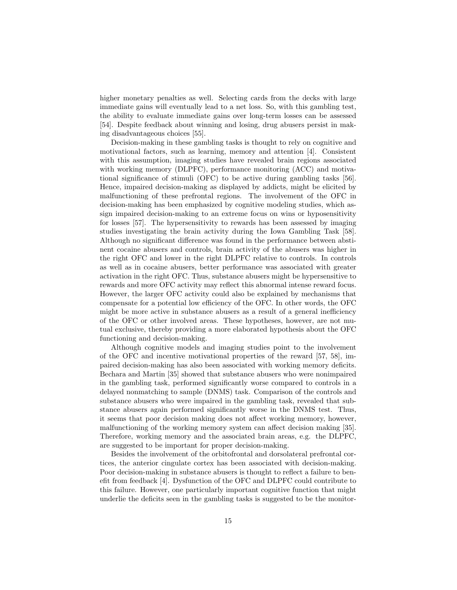higher monetary penalties as well. Selecting cards from the decks with large immediate gains will eventually lead to a net loss. So, with this gambling test, the ability to evaluate immediate gains over long-term losses can be assessed [54]. Despite feedback about winning and losing, drug abusers persist in making disadvantageous choices [55].

Decision-making in these gambling tasks is thought to rely on cognitive and motivational factors, such as learning, memory and attention [4]. Consistent with this assumption, imaging studies have revealed brain regions associated with working memory (DLPFC), performance monitoring (ACC) and motivational significance of stimuli (OFC) to be active during gambling tasks [56]. Hence, impaired decision-making as displayed by addicts, might be elicited by malfunctioning of these prefrontal regions. The involvement of the OFC in decision-making has been emphasized by cognitive modeling studies, which assign impaired decision-making to an extreme focus on wins or hyposensitivity for losses [57]. The hypersensitivity to rewards has been assessed by imaging studies investigating the brain activity during the Iowa Gambling Task [58]. Although no significant difference was found in the performance between abstinent cocaine abusers and controls, brain activity of the abusers was higher in the right OFC and lower in the right DLPFC relative to controls. In controls as well as in cocaine abusers, better performance was associated with greater activation in the right OFC. Thus, substance abusers might be hypersensitive to rewards and more OFC activity may reflect this abnormal intense reward focus. However, the larger OFC activity could also be explained by mechanisms that compensate for a potential low efficiency of the OFC. In other words, the OFC might be more active in substance abusers as a result of a general inefficiency of the OFC or other involved areas. These hypotheses, however, are not mutual exclusive, thereby providing a more elaborated hypothesis about the OFC functioning and decision-making.

Although cognitive models and imaging studies point to the involvement of the OFC and incentive motivational properties of the reward [57, 58], impaired decision-making has also been associated with working memory deficits. Bechara and Martin [35] showed that substance abusers who were nonimpaired in the gambling task, performed significantly worse compared to controls in a delayed nonmatching to sample (DNMS) task. Comparison of the controls and substance abusers who were impaired in the gambling task, revealed that substance abusers again performed significantly worse in the DNMS test. Thus, it seems that poor decision making does not affect working memory, however, malfunctioning of the working memory system can affect decision making [35]. Therefore, working memory and the associated brain areas, e.g. the DLPFC, are suggested to be important for proper decision-making.

Besides the involvement of the orbitofrontal and dorsolateral prefrontal cortices, the anterior cingulate cortex has been associated with decision-making. Poor decision-making in substance abusers is thought to reflect a failure to benefit from feedback [4]. Dysfunction of the OFC and DLPFC could contribute to this failure. However, one particularly important cognitive function that might underlie the deficits seen in the gambling tasks is suggested to be the monitor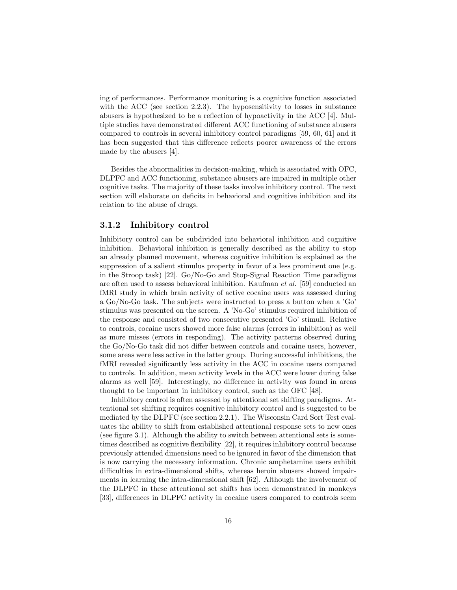ing of performances. Performance monitoring is a cognitive function associated with the ACC (see section 2.2.3). The hyposensitivity to losses in substance abusers is hypothesized to be a reflection of hypoactivity in the ACC [4]. Multiple studies have demonstrated different ACC functioning of substance abusers compared to controls in several inhibitory control paradigms [59, 60, 61] and it has been suggested that this difference reflects poorer awareness of the errors made by the abusers [4].

Besides the abnormalities in decision-making, which is associated with OFC, DLPFC and ACC functioning, substance abusers are impaired in multiple other cognitive tasks. The majority of these tasks involve inhibitory control. The next section will elaborate on deficits in behavioral and cognitive inhibition and its relation to the abuse of drugs.

#### 3.1.2 Inhibitory control

Inhibitory control can be subdivided into behavioral inhibition and cognitive inhibition. Behavioral inhibition is generally described as the ability to stop an already planned movement, whereas cognitive inhibition is explained as the suppression of a salient stimulus property in favor of a less prominent one (e.g. in the Stroop task) [22]. Go/No-Go and Stop-Signal Reaction Time paradigms are often used to assess behavioral inhibition. Kaufman et al. [59] conducted an fMRI study in which brain activity of active cocaine users was assessed during a Go/No-Go task. The subjects were instructed to press a button when a 'Go' stimulus was presented on the screen. A 'No-Go' stimulus required inhibition of the response and consisted of two consecutive presented 'Go' stimuli. Relative to controls, cocaine users showed more false alarms (errors in inhibition) as well as more misses (errors in responding). The activity patterns observed during the Go/No-Go task did not differ between controls and cocaine users, however, some areas were less active in the latter group. During successful inhibitions, the fMRI revealed significantly less activity in the ACC in cocaine users compared to controls. In addition, mean activity levels in the ACC were lower during false alarms as well [59]. Interestingly, no difference in activity was found in areas thought to be important in inhibitory control, such as the OFC [48].

Inhibitory control is often assessed by attentional set shifting paradigms. Attentional set shifting requires cognitive inhibitory control and is suggested to be mediated by the DLPFC (see section 2.2.1). The Wisconsin Card Sort Test evaluates the ability to shift from established attentional response sets to new ones (see figure 3.1). Although the ability to switch between attentional sets is sometimes described as cognitive flexibility [22], it requires inhibitory control because previously attended dimensions need to be ignored in favor of the dimension that is now carrying the necessary information. Chronic amphetamine users exhibit difficulties in extra-dimensional shifts, whereas heroin abusers showed impairments in learning the intra-dimensional shift [62]. Although the involvement of the DLPFC in these attentional set shifts has been demonstrated in monkeys [33], differences in DLPFC activity in cocaine users compared to controls seem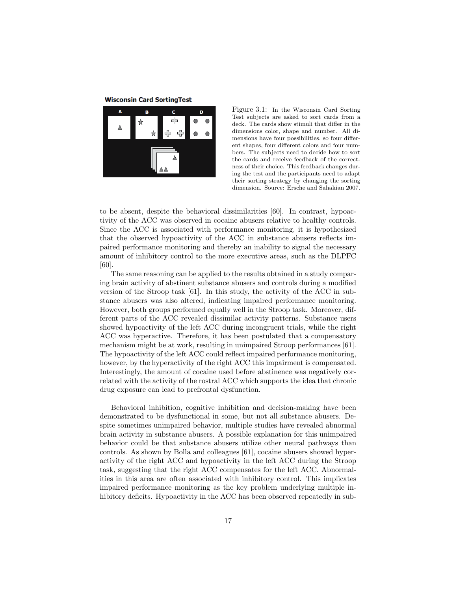**Wisconsin Card SortingTest** 



Figure 3.1: In the Wisconsin Card Sorting Test subjects are asked to sort cards from a deck. The cards show stimuli that differ in the dimensions color, shape and number. All dimensions have four possibilities, so four different shapes, four different colors and four numbers. The subjects need to decide how to sort the cards and receive feedback of the correctness of their choice. This feedback changes during the test and the participants need to adapt their sorting strategy by changing the sorting dimension. Source: Ersche and Sahakian 2007.

to be absent, despite the behavioral dissimilarities [60]. In contrast, hypoactivity of the ACC was observed in cocaine abusers relative to healthy controls. Since the ACC is associated with performance monitoring, it is hypothesized that the observed hypoactivity of the ACC in substance abusers reflects impaired performance monitoring and thereby an inability to signal the necessary amount of inhibitory control to the more executive areas, such as the DLPFC [60].

The same reasoning can be applied to the results obtained in a study comparing brain activity of abstinent substance abusers and controls during a modified version of the Stroop task [61]. In this study, the activity of the ACC in substance abusers was also altered, indicating impaired performance monitoring. However, both groups performed equally well in the Stroop task. Moreover, different parts of the ACC revealed dissimilar activity patterns. Substance users showed hypoactivity of the left ACC during incongruent trials, while the right ACC was hyperactive. Therefore, it has been postulated that a compensatory mechanism might be at work, resulting in unimpaired Stroop performances [61]. The hypoactivity of the left ACC could reflect impaired performance monitoring, however, by the hyperactivity of the right ACC this impairment is compensated. Interestingly, the amount of cocaine used before abstinence was negatively correlated with the activity of the rostral ACC which supports the idea that chronic drug exposure can lead to prefrontal dysfunction.

Behavioral inhibition, cognitive inhibition and decision-making have been demonstrated to be dysfunctional in some, but not all substance abusers. Despite sometimes unimpaired behavior, multiple studies have revealed abnormal brain activity in substance abusers. A possible explanation for this unimpaired behavior could be that substance abusers utilize other neural pathways than controls. As shown by Bolla and colleagues [61], cocaine abusers showed hyperactivity of the right ACC and hypoactivity in the left ACC during the Stroop task, suggesting that the right ACC compensates for the left ACC. Abnormalities in this area are often associated with inhibitory control. This implicates impaired performance monitoring as the key problem underlying multiple inhibitory deficits. Hypoactivity in the ACC has been observed repeatedly in sub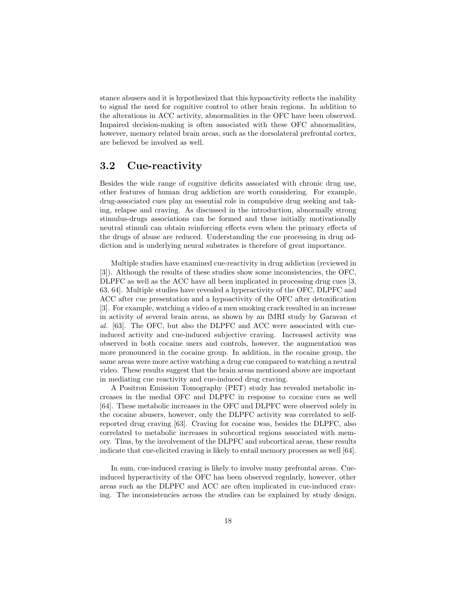stance abusers and it is hypothesized that this hypoactivity reflects the inability to signal the need for cognitive control to other brain regions. In addition to the alterations in ACC activity, abnormalities in the OFC have been observed. Impaired decision-making is often associated with these OFC abnormalities, however, memory related brain areas, such as the dorsolateral prefrontal cortex, are believed be involved as well.

#### 3.2 Cue-reactivity

Besides the wide range of cognitive deficits associated with chronic drug use, other features of human drug addiction are worth considering. For example, drug-associated cues play an essential role in compulsive drug seeking and taking, relapse and craving. As discussed in the introduction, abnormally strong stimulus-drugs associations can be formed and these initially motivationally neutral stimuli can obtain reinforcing effects even when the primary effects of the drugs of abuse are reduced. Understanding the cue processing in drug addiction and is underlying neural substrates is therefore of great importance.

Multiple studies have examined cue-reactivity in drug addiction (reviewed in [3]). Although the results of these studies show some inconsistencies, the OFC, DLPFC as well as the ACC have all been implicated in processing drug cues [3, 63, 64]. Multiple studies have revealed a hyperactivity of the OFC, DLPFC and ACC after cue presentation and a hypoactivity of the OFC after detoxification [3]. For example, watching a video of a men smoking crack resulted in an increase in activity of several brain areas, as shown by an fMRI study by Garavan et al. [63]. The OFC, but also the DLPFC and ACC were associated with cueinduced activity and cue-induced subjective craving. Increased activity was observed in both cocaine users and controls, however, the augmentation was more pronounced in the cocaine group. In addition, in the cocaine group, the same areas were more active watching a drug cue compared to watching a neutral video. These results suggest that the brain areas mentioned above are important in mediating cue reactivity and cue-induced drug craving.

A Positron Emission Tomography (PET) study has revealed metabolic increases in the medial OFC and DLPFC in response to cocaine cues as well [64]. These metabolic increases in the OFC and DLPFC were observed solely in the cocaine abusers, however, only the DLPFC activity was correlated to selfreported drug craving [63]. Craving for cocaine was, besides the DLPFC, also correlated to metabolic increases in subcortical regions associated with memory. Thus, by the involvement of the DLPFC and subcortical areas, these results indicate that cue-elicited craving is likely to entail memory processes as well [64].

In sum, cue-induced craving is likely to involve many prefrontal areas. Cueinduced hyperactivity of the OFC has been observed regularly, however, other areas such as the DLPFC and ACC are often implicated in cue-induced craving. The inconsistencies across the studies can be explained by study design,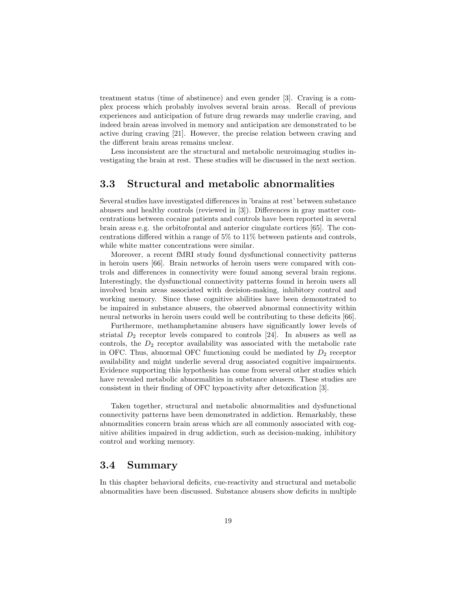treatment status (time of abstinence) and even gender [3]. Craving is a complex process which probably involves several brain areas. Recall of previous experiences and anticipation of future drug rewards may underlie craving, and indeed brain areas involved in memory and anticipation are demonstrated to be active during craving [21]. However, the precise relation between craving and the different brain areas remains unclear.

Less inconsistent are the structural and metabolic neuroimaging studies investigating the brain at rest. These studies will be discussed in the next section.

#### 3.3 Structural and metabolic abnormalities

Several studies have investigated differences in 'brains at rest' between substance abusers and healthy controls (reviewed in [3]). Differences in gray matter concentrations between cocaine patients and controls have been reported in several brain areas e.g. the orbitofrontal and anterior cingulate cortices [65]. The concentrations differed within a range of 5% to 11% between patients and controls, while white matter concentrations were similar.

Moreover, a recent fMRI study found dysfunctional connectivity patterns in heroin users [66]. Brain networks of heroin users were compared with controls and differences in connectivity were found among several brain regions. Interestingly, the dysfunctional connectivity patterns found in heroin users all involved brain areas associated with decision-making, inhibitory control and working memory. Since these cognitive abilities have been demonstrated to be impaired in substance abusers, the observed abnormal connectivity within neural networks in heroin users could well be contributing to these deficits [66].

Furthermore, methamphetamine abusers have significantly lower levels of striatal  $D_2$  receptor levels compared to controls [24]. In abusers as well as controls, the  $D_2$  receptor availability was associated with the metabolic rate in OFC. Thus, abnormal OFC functioning could be mediated by  $D_2$  receptor availability and might underlie several drug associated cognitive impairments. Evidence supporting this hypothesis has come from several other studies which have revealed metabolic abnormalities in substance abusers. These studies are consistent in their finding of OFC hypoactivity after detoxification [3].

Taken together, structural and metabolic abnormalities and dysfunctional connectivity patterns have been demonstrated in addiction. Remarkably, these abnormalities concern brain areas which are all commonly associated with cognitive abilities impaired in drug addiction, such as decision-making, inhibitory control and working memory.

#### 3.4 Summary

In this chapter behavioral deficits, cue-reactivity and structural and metabolic abnormalities have been discussed. Substance abusers show deficits in multiple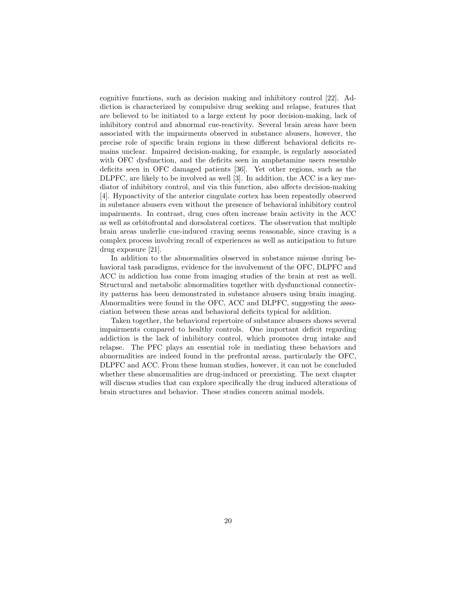cognitive functions, such as decision making and inhibitory control [22]. Addiction is characterized by compulsive drug seeking and relapse, features that are believed to be initiated to a large extent by poor decision-making, lack of inhibitory control and abnormal cue-reactivity. Several brain areas have been associated with the impairments observed in substance abusers, however, the precise role of specific brain regions in these different behavioral deficits remains unclear. Impaired decision-making, for example, is regularly associated with OFC dysfunction, and the deficits seen in amphetamine users resemble deficits seen in OFC damaged patients [36]. Yet other regions, such as the DLPFC, are likely to be involved as well [3]. In addition, the ACC is a key mediator of inhibitory control, and via this function, also affects decision-making [4]. Hypoactivity of the anterior cingulate cortex has been repeatedly observed in substance abusers even without the presence of behavioral inhibitory control impairments. In contrast, drug cues often increase brain activity in the ACC as well as orbitofrontal and dorsolateral cortices. The observation that multiple brain areas underlie cue-induced craving seems reasonable, since craving is a complex process involving recall of experiences as well as anticipation to future drug exposure [21].

In addition to the abnormalities observed in substance misuse during behavioral task paradigms, evidence for the involvement of the OFC, DLPFC and ACC in addiction has come from imaging studies of the brain at rest as well. Structural and metabolic abnormalities together with dysfunctional connectivity patterns has been demonstrated in substance abusers using brain imaging. Abnormalities were found in the OFC, ACC and DLPFC, suggesting the association between these areas and behavioral deficits typical for addition.

Taken together, the behavioral repertoire of substance abusers shows several impairments compared to healthy controls. One important deficit regarding addiction is the lack of inhibitory control, which promotes drug intake and relapse. The PFC plays an essential role in mediating these behaviors and abnormalities are indeed found in the prefrontal areas, particularly the OFC, DLPFC and ACC. From these human studies, however, it can not be concluded whether these abnormalities are drug-induced or preexisting. The next chapter will discuss studies that can explore specifically the drug induced alterations of brain structures and behavior. These studies concern animal models.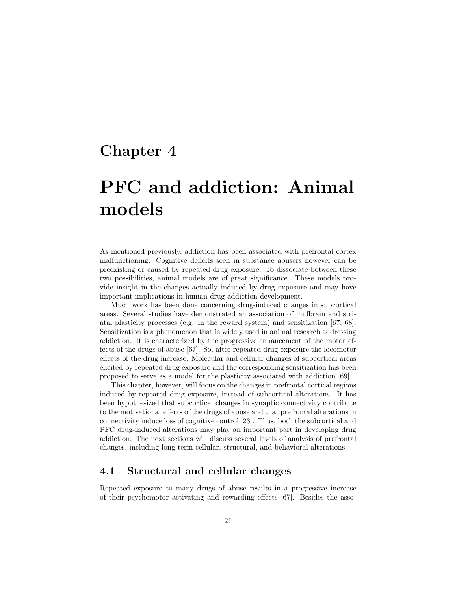## Chapter 4

# PFC and addiction: Animal models

As mentioned previously, addiction has been associated with prefrontal cortex malfunctioning. Cognitive deficits seen in substance abusers however can be preexisting or caused by repeated drug exposure. To dissociate between these two possibilities, animal models are of great significance. These models provide insight in the changes actually induced by drug exposure and may have important implications in human drug addiction development.

Much work has been done concerning drug-induced changes in subcortical areas. Several studies have demonstrated an association of midbrain and striatal plasticity processes (e.g. in the reward system) and sensitization [67, 68]. Sensitization is a phenomenon that is widely used in animal research addressing addiction. It is characterized by the progressive enhancement of the motor effects of the drugs of abuse [67]. So, after repeated drug exposure the locomotor effects of the drug increase. Molecular and cellular changes of subcortical areas elicited by repeated drug exposure and the corresponding sensitization has been proposed to serve as a model for the plasticity associated with addiction [69].

This chapter, however, will focus on the changes in prefrontal cortical regions induced by repeated drug exposure, instead of subcortical alterations. It has been hypothesized that subcortical changes in synaptic connectivity contribute to the motivational effects of the drugs of abuse and that prefrontal alterations in connectivity induce loss of cognitive control [23]. Thus, both the subcortical and PFC drug-induced alterations may play an important part in developing drug addiction. The next sections will discuss several levels of analysis of prefrontal changes, including long-term cellular, structural, and behavioral alterations.

#### 4.1 Structural and cellular changes

Repeated exposure to many drugs of abuse results in a progressive increase of their psychomotor activating and rewarding effects [67]. Besides the asso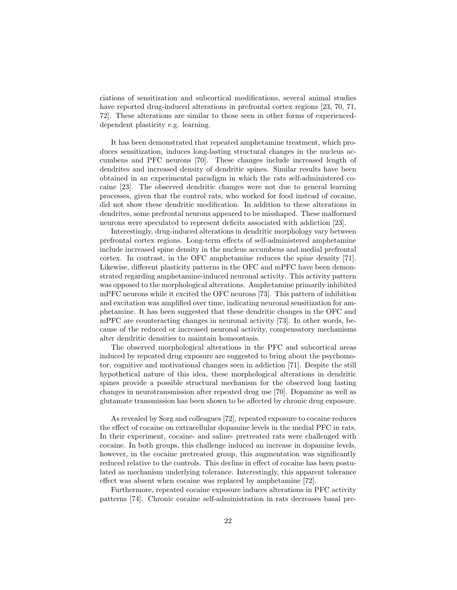ciations of sensitization and subcortical modifications, several animal studies have reported drug-induced alterations in prefrontal cortex regions [23, 70, 71, 72]. These alterations are similar to those seen in other forms of experienceddependent plasticity e.g. learning.

It has been demonstrated that repeated amphetamine treatment, which produces sensitization, induces long-lasting structural changes in the nucleus accumbens and PFC neurons [70]. These changes include increased length of dendrites and increased density of dendritic spines. Similar results have been obtained in an experimental paradigm in which the rats self-administered cocaine [23]. The observed dendritic changes were not due to general learning processes, given that the control rats, who worked for food instead of cocaine, did not show these dendritic modification. In addition to these alterations in dendrites, some prefrontal neurons appeared to be misshaped. These malformed neurons were speculated to represent deficits associated with addiction [23].

Interestingly, drug-induced alterations in dendritic morphology vary between prefrontal cortex regions. Long-term effects of self-administered amphetamine include increased spine density in the nucleus accumbens and medial prefrontal cortex. In contrast, in the OFC amphetamine reduces the spine density [71]. Likewise, different plasticity patterns in the OFC and mPFC have been demonstrated regarding amphetamine-induced neuronal activity. This activity pattern was opposed to the morphological alterations. Amphetamine primarily inhibited mPFC neurons while it excited the OFC neurons [73]. This pattern of inhibition and excitation was amplified over time, indicating neuronal sensitization for amphetamine. It has been suggested that these dendritic changes in the OFC and mPFC are counteracting changes in neuronal activity [73]. In other words, because of the reduced or increased neuronal activity, compensatory mechanisms alter dendritic densities to maintain homeostasis.

The observed morphological alterations in the PFC and subcortical areas induced by repeated drug exposure are suggested to bring about the psychomotor, cognitive and motivational changes seen in addiction [71]. Despite the still hypothetical nature of this idea, these morphological alterations in dendritic spines provide a possible structural mechanism for the observed long lasting changes in neurotransmission after repeated drug use [70]. Dopamine as well as glutamate transmission has been shown to be affected by chronic drug exposure.

As revealed by Sorg and colleagues [72], repeated exposure to cocaine reduces the effect of cocaine on extracellular dopamine levels in the medial PFC in rats. In their experiment, cocaine- and saline- pretreated rats were challenged with cocaine. In both groups, this challenge induced an increase in dopamine levels, however, in the cocaine pretreated group, this augmentation was significantly reduced relative to the controls. This decline in effect of cocaine has been postulated as mechanism underlying tolerance. Interestingly, this apparent tolerance effect was absent when cocaine was replaced by amphetamine [72].

Furthermore, repeated cocaine exposure induces alterations in PFC activity patterns [74]. Chronic cocaine self-administration in rats decreases basal pre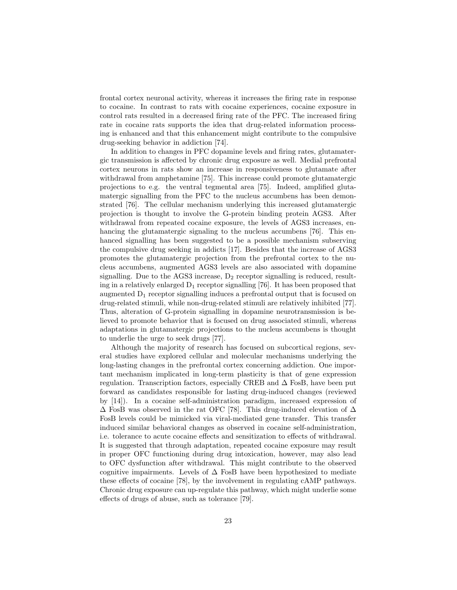frontal cortex neuronal activity, whereas it increases the firing rate in response to cocaine. In contrast to rats with cocaine experiences, cocaine exposure in control rats resulted in a decreased firing rate of the PFC. The increased firing rate in cocaine rats supports the idea that drug-related information processing is enhanced and that this enhancement might contribute to the compulsive drug-seeking behavior in addiction [74].

In addition to changes in PFC dopamine levels and firing rates, glutamatergic transmission is affected by chronic drug exposure as well. Medial prefrontal cortex neurons in rats show an increase in responsiveness to glutamate after withdrawal from amphetamine [75]. This increase could promote glutamatergic projections to e.g. the ventral tegmental area [75]. Indeed, amplified glutamatergic signalling from the PFC to the nucleus accumbens has been demonstrated [76]. The cellular mechanism underlying this increased glutamatergic projection is thought to involve the G-protein binding protein AGS3. After withdrawal from repeated cocaine exposure, the levels of AGS3 increases, enhancing the glutamatergic signaling to the nucleus accumbens [76]. This enhanced signalling has been suggested to be a possible mechanism subserving the compulsive drug seeking in addicts [17]. Besides that the increase of AGS3 promotes the glutamatergic projection from the prefrontal cortex to the nucleus accumbens, augmented AGS3 levels are also associated with dopamine signalling. Due to the AGS3 increase,  $D_2$  receptor signalling is reduced, resulting in a relatively enlarged  $D_1$  receptor signalling [76]. It has been proposed that augmented  $D_1$  receptor signalling induces a prefrontal output that is focused on drug-related stimuli, while non-drug-related stimuli are relatively inhibited [77]. Thus, alteration of G-protein signalling in dopamine neurotransmission is believed to promote behavior that is focused on drug associated stimuli, whereas adaptations in glutamatergic projections to the nucleus accumbens is thought to underlie the urge to seek drugs [77].

Although the majority of research has focused on subcortical regions, several studies have explored cellular and molecular mechanisms underlying the long-lasting changes in the prefrontal cortex concerning addiction. One important mechanism implicated in long-term plasticity is that of gene expression regulation. Transcription factors, especially CREB and  $\Delta$  FosB, have been put forward as candidates responsible for lasting drug-induced changes (reviewed by [14]). In a cocaine self-administration paradigm, increased expression of  $\Delta$  FosB was observed in the rat OFC [78]. This drug-induced elevation of  $\Delta$ FosB levels could be mimicked via viral-mediated gene transfer. This transfer induced similar behavioral changes as observed in cocaine self-administration, i.e. tolerance to acute cocaine effects and sensitization to effects of withdrawal. It is suggested that through adaptation, repeated cocaine exposure may result in proper OFC functioning during drug intoxication, however, may also lead to OFC dysfunction after withdrawal. This might contribute to the observed cognitive impairments. Levels of  $\Delta$  FosB have been hypothesized to mediate these effects of cocaine [78], by the involvement in regulating cAMP pathways. Chronic drug exposure can up-regulate this pathway, which might underlie some effects of drugs of abuse, such as tolerance [79].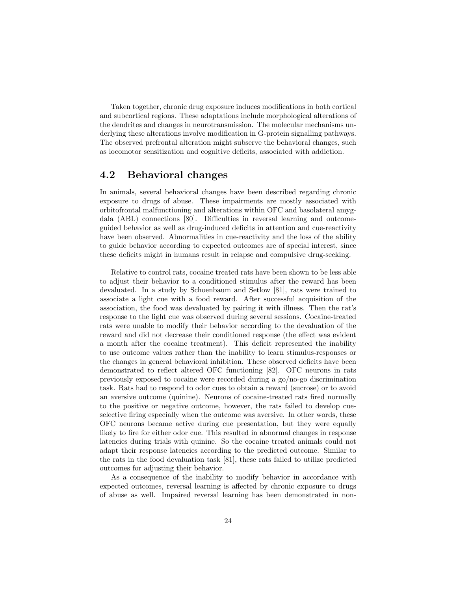Taken together, chronic drug exposure induces modifications in both cortical and subcortical regions. These adaptations include morphological alterations of the dendrites and changes in neurotransmission. The molecular mechanisms underlying these alterations involve modification in G-protein signalling pathways. The observed prefrontal alteration might subserve the behavioral changes, such as locomotor sensitization and cognitive deficits, associated with addiction.

#### 4.2 Behavioral changes

In animals, several behavioral changes have been described regarding chronic exposure to drugs of abuse. These impairments are mostly associated with orbitofrontal malfunctioning and alterations within OFC and basolateral amygdala (ABL) connections [80]. Difficulties in reversal learning and outcomeguided behavior as well as drug-induced deficits in attention and cue-reactivity have been observed. Abnormalities in cue-reactivity and the loss of the ability to guide behavior according to expected outcomes are of special interest, since these deficits might in humans result in relapse and compulsive drug-seeking.

Relative to control rats, cocaine treated rats have been shown to be less able to adjust their behavior to a conditioned stimulus after the reward has been devaluated. In a study by Schoenbaum and Setlow [81], rats were trained to associate a light cue with a food reward. After successful acquisition of the association, the food was devaluated by pairing it with illness. Then the rat's response to the light cue was observed during several sessions. Cocaine-treated rats were unable to modify their behavior according to the devaluation of the reward and did not decrease their conditioned response (the effect was evident a month after the cocaine treatment). This deficit represented the inability to use outcome values rather than the inability to learn stimulus-responses or the changes in general behavioral inhibition. These observed deficits have been demonstrated to reflect altered OFC functioning [82]. OFC neurons in rats previously exposed to cocaine were recorded during a go/no-go discrimination task. Rats had to respond to odor cues to obtain a reward (sucrose) or to avoid an aversive outcome (quinine). Neurons of cocaine-treated rats fired normally to the positive or negative outcome, however, the rats failed to develop cueselective firing especially when the outcome was aversive. In other words, these OFC neurons became active during cue presentation, but they were equally likely to fire for either odor cue. This resulted in abnormal changes in response latencies during trials with quinine. So the cocaine treated animals could not adapt their response latencies according to the predicted outcome. Similar to the rats in the food devaluation task [81], these rats failed to utilize predicted outcomes for adjusting their behavior.

As a consequence of the inability to modify behavior in accordance with expected outcomes, reversal learning is affected by chronic exposure to drugs of abuse as well. Impaired reversal learning has been demonstrated in non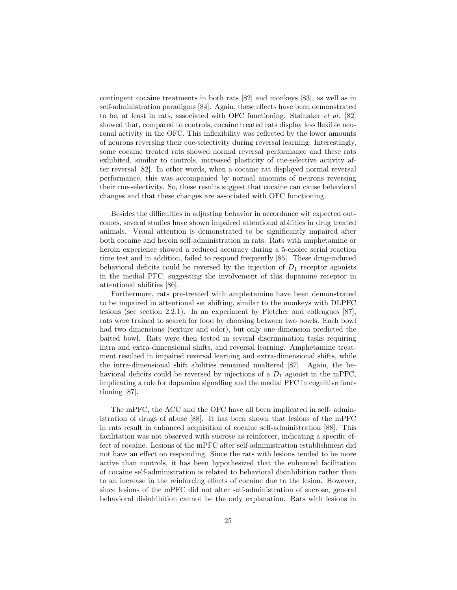contingent cocaine treatments in both rats [82] and monkeys [83], as well as in self-administration paradigms [84]. Again, these effects have been demonstrated to be, at least in rats, associated with OFC functioning. Stalnaker et al. [82] showed that, compared to controls, cocaine treated rats display less flexible neuronal activity in the OFC. This inflexibility was reflected by the lower amounts of neurons reversing their cue-selectivity during reversal learning. Interestingly, some cocaine treated rats showed normal reversal performance and these rats exhibited, similar to controls, increased plasticity of cue-selective activity after reversal [82]. In other words, when a cocaine rat displayed normal reversal performance, this was accompanied by normal amounts of neurons reversing their cue-selectivity. So, these results suggest that cocaine can cause behavioral changes and that these changes are associated with OFC functioning.

Besides the difficulties in adjusting behavior in accordance wit expected outcomes, several studies have shown impaired attentional abilities in drug treated animals. Visual attention is demonstrated to be significantly impaired after both cocaine and heroin self-administration in rats. Rats with amphetamine or heroin experience showed a reduced accuracy during a 5-choice serial reaction time test and in addition, failed to respond frequently [85]. These drug-induced behavioral deficits could be reversed by the injection of  $D_1$  receptor agonists in the medial PFC, suggesting the involvement of this dopamine receptor in attentional abilities [86].

Furthermore, rats pre-treated with amphetamine have been demonstrated to be impaired in attentional set shifting, similar to the monkeys with DLPFC lesions (see section 2.2.1). In an experiment by Fletcher and colleagues [87], rats were trained to search for food by choosing between two bowls. Each bowl had two dimensions (texture and odor), but only one dimension predicted the baited bowl. Rats were then tested in several discrimination tasks requiring intra and extra-dimensional shifts, and reversal learning. Amphetamine treatment resulted in impaired reversal learning and extra-dimensional shifts, while the intra-dimensional shift abilities remained unaltered [87]. Again, the behavioral deficits could be reversed by injections of a  $D_1$  agonist in the mPFC, implicating a role for dopamine signalling and the medial PFC in cognitive functioning [87].

The mPFC, the ACC and the OFC have all been implicated in self- administration of drugs of abuse [88]. It has been shown that lesions of the mPFC in rats result in enhanced acquisition of cocaine self-administration [88]. This facilitation was not observed with sucrose as reinforcer, indicating a specific effect of cocaine. Lesions of the mPFC after self-administration establishment did not have an effect on responding. Since the rats with lesions tended to be more active than controls, it has been hypothesized that the enhanced facilitation of cocaine self-administration is related to behavioral disinhibition rather than to an increase in the reinforcing effects of cocaine due to the lesion. However, since lesions of the mPFC did not alter self-administration of sucrose, general behavioral disinhibition cannot be the only explanation. Rats with lesions in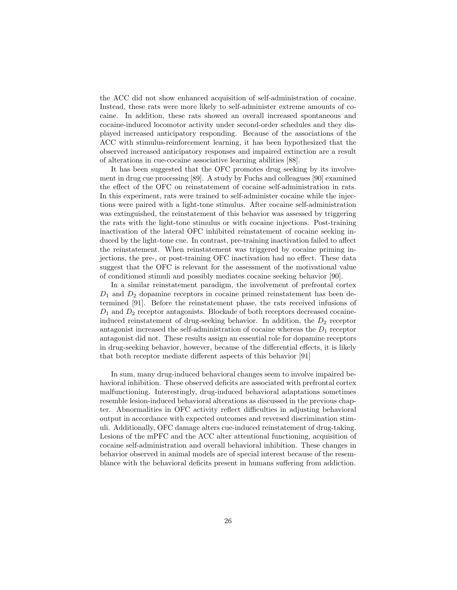the ACC did not show enhanced acquisition of self-administration of cocaine. Instead, these rats were more likely to self-administer extreme amounts of cocaine. In addition, these rats showed an overall increased spontaneous and cocaine-induced locomotor activity under second-order schedules and they displayed increased anticipatory responding. Because of the associations of the ACC with stimulus-reinforcement learning, it has been hypothesized that the observed increased anticipatory responses and impaired extinction are a result of alterations in cue-cocaine associative learning abilities [88].

It has been suggested that the OFC promotes drug seeking by its involvement in drug cue processing [89]. A study by Fuchs and colleagues [90] examined the effect of the OFC on reinstatement of cocaine self-administration in rats. In this experiment, rats were trained to self-administer cocaine while the injections were paired with a light-tone stimulus. After cocaine self-administration was extinguished, the reinstatement of this behavior was assessed by triggering the rats with the light-tone stimulus or with cocaine injections. Post-training inactivation of the lateral OFC inhibited reinstatement of cocaine seeking induced by the light-tone cue. In contrast, pre-training inactivation failed to affect the reinstatement. When reinstatement was triggered by cocaine priming injections, the pre-, or post-training OFC inactivation had no effect. These data suggest that the OFC is relevant for the assessment of the motivational value of conditioned stimuli and possibly mediates cocaine seeking behavior [90].

In a similar reinstatement paradigm, the involvement of prefrontal cortex  $D_1$  and  $D_2$  dopamine receptors in cocaine primed reinstatement has been determined [91]. Before the reinstatement phase, the rats received infusions of  $D_1$  and  $D_2$  receptor antagonists. Blockade of both receptors decreased cocaineinduced reinstatement of drug-seeking behavior. In addition, the  $D_2$  receptor antagonist increased the self-administration of cocaine whereas the  $D_1$  receptor antagonist did not. These results assign an essential role for dopamine receptors in drug-seeking behavior, however, because of the differential effects, it is likely that both receptor mediate different aspects of this behavior [91]

In sum, many drug-induced behavioral changes seem to involve impaired behavioral inhibition. These observed deficits are associated with prefrontal cortex malfunctioning. Interestingly, drug-induced behavioral adaptations sometimes resemble lesion-induced behavioral alterations as discussed in the previous chapter. Abnormalities in OFC activity reflect difficulties in adjusting behavioral output in accordance with expected outcomes and reversed discrimination stimuli. Additionally, OFC damage alters cue-induced reinstatement of drug-taking. Lesions of the mPFC and the ACC alter attentional functioning, acquisition of cocaine self-administration and overall behavioral inhibition. These changes in behavior observed in animal models are of special interest because of the resemblance with the behavioral deficits present in humans suffering from addiction.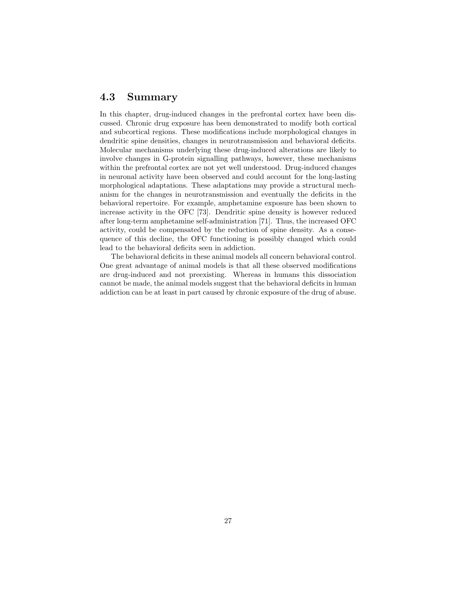#### 4.3 Summary

In this chapter, drug-induced changes in the prefrontal cortex have been discussed. Chronic drug exposure has been demonstrated to modify both cortical and subcortical regions. These modifications include morphological changes in dendritic spine densities, changes in neurotransmission and behavioral deficits. Molecular mechanisms underlying these drug-induced alterations are likely to involve changes in G-protein signalling pathways, however, these mechanisms within the prefrontal cortex are not yet well understood. Drug-induced changes in neuronal activity have been observed and could account for the long-lasting morphological adaptations. These adaptations may provide a structural mechanism for the changes in neurotransmission and eventually the deficits in the behavioral repertoire. For example, amphetamine exposure has been shown to increase activity in the OFC [73]. Dendritic spine density is however reduced after long-term amphetamine self-administration [71]. Thus, the increased OFC activity, could be compensated by the reduction of spine density. As a consequence of this decline, the OFC functioning is possibly changed which could lead to the behavioral deficits seen in addiction.

The behavioral deficits in these animal models all concern behavioral control. One great advantage of animal models is that all these observed modifications are drug-induced and not preexisting. Whereas in humans this dissociation cannot be made, the animal models suggest that the behavioral deficits in human addiction can be at least in part caused by chronic exposure of the drug of abuse.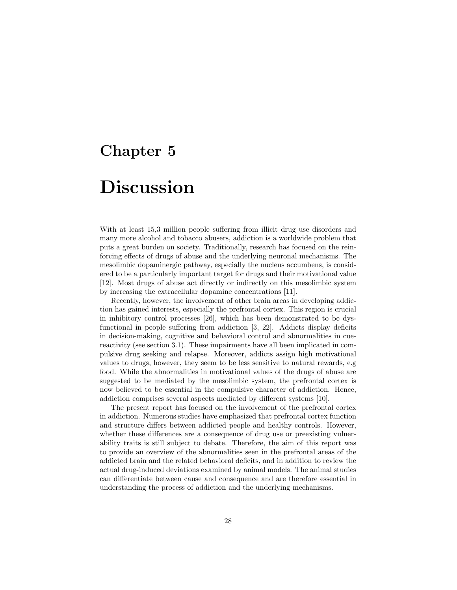## Chapter 5

## Discussion

With at least  $15,3$  million people suffering from illicit drug use disorders and many more alcohol and tobacco abusers, addiction is a worldwide problem that puts a great burden on society. Traditionally, research has focused on the reinforcing effects of drugs of abuse and the underlying neuronal mechanisms. The mesolimbic dopaminergic pathway, especially the nucleus accumbens, is considered to be a particularly important target for drugs and their motivational value [12]. Most drugs of abuse act directly or indirectly on this mesolimbic system by increasing the extracellular dopamine concentrations [11].

Recently, however, the involvement of other brain areas in developing addiction has gained interests, especially the prefrontal cortex. This region is crucial in inhibitory control processes [26], which has been demonstrated to be dysfunctional in people suffering from addiction [3, 22]. Addicts display deficits in decision-making, cognitive and behavioral control and abnormalities in cuereactivity (see section 3.1). These impairments have all been implicated in compulsive drug seeking and relapse. Moreover, addicts assign high motivational values to drugs, however, they seem to be less sensitive to natural rewards, e.g food. While the abnormalities in motivational values of the drugs of abuse are suggested to be mediated by the mesolimbic system, the prefrontal cortex is now believed to be essential in the compulsive character of addiction. Hence, addiction comprises several aspects mediated by different systems [10].

The present report has focused on the involvement of the prefrontal cortex in addiction. Numerous studies have emphasized that prefrontal cortex function and structure differs between addicted people and healthy controls. However, whether these differences are a consequence of drug use or preexisting vulnerability traits is still subject to debate. Therefore, the aim of this report was to provide an overview of the abnormalities seen in the prefrontal areas of the addicted brain and the related behavioral deficits, and in addition to review the actual drug-induced deviations examined by animal models. The animal studies can differentiate between cause and consequence and are therefore essential in understanding the process of addiction and the underlying mechanisms.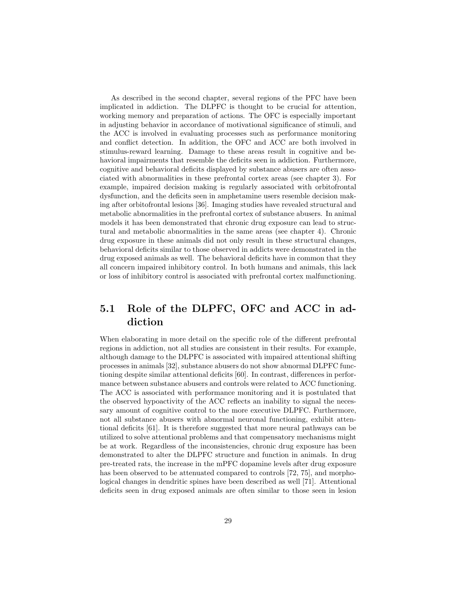As described in the second chapter, several regions of the PFC have been implicated in addiction. The DLPFC is thought to be crucial for attention, working memory and preparation of actions. The OFC is especially important in adjusting behavior in accordance of motivational significance of stimuli, and the ACC is involved in evaluating processes such as performance monitoring and conflict detection. In addition, the OFC and ACC are both involved in stimulus-reward learning. Damage to these areas result in cognitive and behavioral impairments that resemble the deficits seen in addiction. Furthermore, cognitive and behavioral deficits displayed by substance abusers are often associated with abnormalities in these prefrontal cortex areas (see chapter 3). For example, impaired decision making is regularly associated with orbitofrontal dysfunction, and the deficits seen in amphetamine users resemble decision making after orbitofrontal lesions [36]. Imaging studies have revealed structural and metabolic abnormalities in the prefrontal cortex of substance abusers. In animal models it has been demonstrated that chronic drug exposure can lead to structural and metabolic abnormalities in the same areas (see chapter 4). Chronic drug exposure in these animals did not only result in these structural changes, behavioral deficits similar to those observed in addicts were demonstrated in the drug exposed animals as well. The behavioral deficits have in common that they all concern impaired inhibitory control. In both humans and animals, this lack or loss of inhibitory control is associated with prefrontal cortex malfunctioning.

#### 5.1 Role of the DLPFC, OFC and ACC in addiction

When elaborating in more detail on the specific role of the different prefrontal regions in addiction, not all studies are consistent in their results. For example, although damage to the DLPFC is associated with impaired attentional shifting processes in animals [32], substance abusers do not show abnormal DLPFC functioning despite similar attentional deficits [60]. In contrast, differences in performance between substance abusers and controls were related to ACC functioning. The ACC is associated with performance monitoring and it is postulated that the observed hypoactivity of the ACC reflects an inability to signal the necessary amount of cognitive control to the more executive DLPFC. Furthermore, not all substance abusers with abnormal neuronal functioning, exhibit attentional deficits [61]. It is therefore suggested that more neural pathways can be utilized to solve attentional problems and that compensatory mechanisms might be at work. Regardless of the inconsistencies, chronic drug exposure has been demonstrated to alter the DLPFC structure and function in animals. In drug pre-treated rats, the increase in the mPFC dopamine levels after drug exposure has been observed to be attenuated compared to controls [72, 75], and morphological changes in dendritic spines have been described as well [71]. Attentional deficits seen in drug exposed animals are often similar to those seen in lesion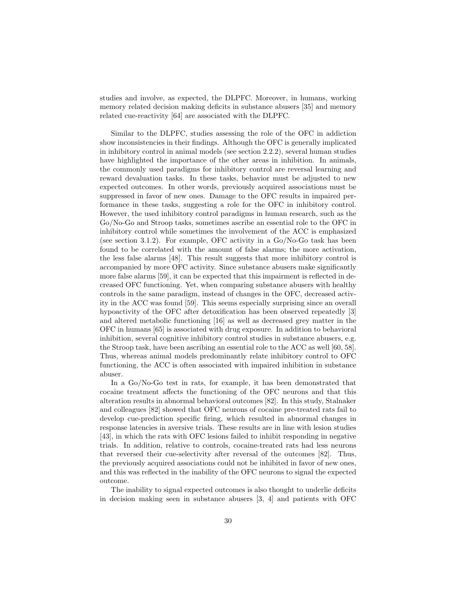studies and involve, as expected, the DLPFC. Moreover, in humans, working memory related decision making deficits in substance abusers [35] and memory related cue-reactivity [64] are associated with the DLPFC.

Similar to the DLPFC, studies assessing the role of the OFC in addiction show inconsistencies in their findings. Although the OFC is generally implicated in inhibitory control in animal models (see section 2.2.2), several human studies have highlighted the importance of the other areas in inhibition. In animals, the commonly used paradigms for inhibitory control are reversal learning and reward devaluation tasks. In these tasks, behavior must be adjusted to new expected outcomes. In other words, previously acquired associations must be suppressed in favor of new ones. Damage to the OFC results in impaired performance in these tasks, suggesting a role for the OFC in inhibitory control. However, the used inhibitory control paradigms in human research, such as the Go/No-Go and Stroop tasks, sometimes ascribe an essential role to the OFC in inhibitory control while sometimes the involvement of the ACC is emphasized (see section 3.1.2). For example, OFC activity in a Go/No-Go task has been found to be correlated with the amount of false alarms; the more activation, the less false alarms [48]. This result suggests that more inhibitory control is accompanied by more OFC activity. Since substance abusers make significantly more false alarms [59], it can be expected that this impairment is reflected in decreased OFC functioning. Yet, when comparing substance abusers with healthy controls in the same paradigm, instead of changes in the OFC, decreased activity in the ACC was found [59]. This seems especially surprising since an overall hypoactivity of the OFC after detoxification has been observed repeatedly [3] and altered metabolic functioning [16] as well as decreased grey matter in the OFC in humans [65] is associated with drug exposure. In addition to behavioral inhibition, several cognitive inhibitory control studies in substance abusers, e.g. the Stroop task, have been ascribing an essential role to the ACC as well [60, 58]. Thus, whereas animal models predominantly relate inhibitory control to OFC functioning, the ACC is often associated with impaired inhibition in substance abuser.

In a Go/No-Go test in rats, for example, it has been demonstrated that cocaine treatment affects the functioning of the OFC neurons and that this alteration results in abnormal behavioral outcomes [82]. In this study, Stalnaker and colleagues [82] showed that OFC neurons of cocaine pre-treated rats fail to develop cue-prediction specific firing, which resulted in abnormal changes in response latencies in aversive trials. These results are in line with lesion studies [43], in which the rats with OFC lesions failed to inhibit responding in negative trials. In addition, relative to controls, cocaine-treated rats had less neurons that reversed their cue-selectivity after reversal of the outcomes [82]. Thus, the previously acquired associations could not be inhibited in favor of new ones, and this was reflected in the inability of the OFC neurons to signal the expected outcome.

The inability to signal expected outcomes is also thought to underlie deficits in decision making seen in substance abusers [3, 4] and patients with OFC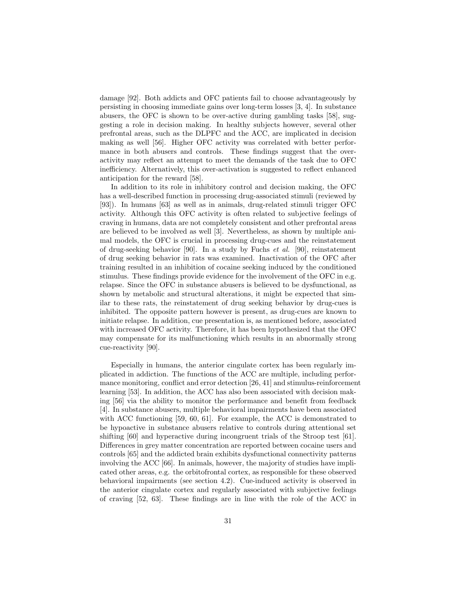damage [92]. Both addicts and OFC patients fail to choose advantageously by persisting in choosing immediate gains over long-term losses [3, 4]. In substance abusers, the OFC is shown to be over-active during gambling tasks [58], suggesting a role in decision making. In healthy subjects however, several other prefrontal areas, such as the DLPFC and the ACC, are implicated in decision making as well [56]. Higher OFC activity was correlated with better performance in both abusers and controls. These findings suggest that the overactivity may reflect an attempt to meet the demands of the task due to OFC inefficiency. Alternatively, this over-activation is suggested to reflect enhanced anticipation for the reward [58].

In addition to its role in inhibitory control and decision making, the OFC has a well-described function in processing drug-associated stimuli (reviewed by [93]). In humans [63] as well as in animals, drug-related stimuli trigger OFC activity. Although this OFC activity is often related to subjective feelings of craving in humans, data are not completely consistent and other prefrontal areas are believed to be involved as well [3]. Nevertheless, as shown by multiple animal models, the OFC is crucial in processing drug-cues and the reinstatement of drug-seeking behavior [90]. In a study by Fuchs et al. [90], reinstatement of drug seeking behavior in rats was examined. Inactivation of the OFC after training resulted in an inhibition of cocaine seeking induced by the conditioned stimulus. These findings provide evidence for the involvement of the OFC in e.g. relapse. Since the OFC in substance abusers is believed to be dysfunctional, as shown by metabolic and structural alterations, it might be expected that similar to these rats, the reinstatement of drug seeking behavior by drug-cues is inhibited. The opposite pattern however is present, as drug-cues are known to initiate relapse. In addition, cue presentation is, as mentioned before, associated with increased OFC activity. Therefore, it has been hypothesized that the OFC may compensate for its malfunctioning which results in an abnormally strong cue-reactivity [90].

Especially in humans, the anterior cingulate cortex has been regularly implicated in addiction. The functions of the ACC are multiple, including performance monitoring, conflict and error detection [26, 41] and stimulus-reinforcement learning [53]. In addition, the ACC has also been associated with decision making [56] via the ability to monitor the performance and benefit from feedback [4]. In substance abusers, multiple behavioral impairments have been associated with ACC functioning [59, 60, 61]. For example, the ACC is demonstrated to be hypoactive in substance abusers relative to controls during attentional set shifting [60] and hyperactive during incongruent trials of the Stroop test [61]. Differences in grey matter concentration are reported between cocaine users and controls [65] and the addicted brain exhibits dysfunctional connectivity patterns involving the ACC [66]. In animals, however, the majority of studies have implicated other areas, e.g. the orbitofrontal cortex, as responsible for these observed behavioral impairments (see section 4.2). Cue-induced activity is observed in the anterior cingulate cortex and regularly associated with subjective feelings of craving [52, 63]. These findings are in line with the role of the ACC in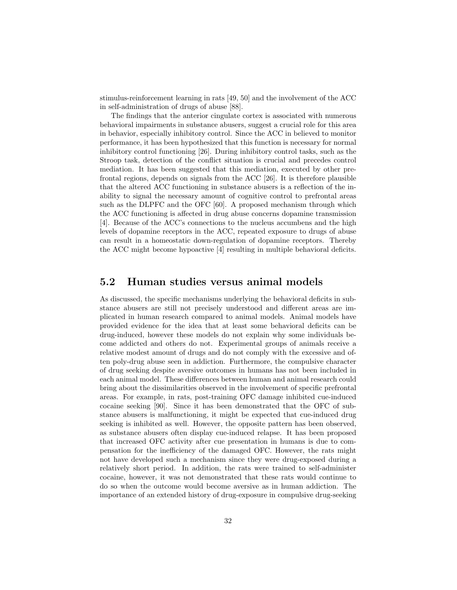stimulus-reinforcement learning in rats [49, 50] and the involvement of the ACC in self-administration of drugs of abuse [88].

The findings that the anterior cingulate cortex is associated with numerous behavioral impairments in substance abusers, suggest a crucial role for this area in behavior, especially inhibitory control. Since the ACC in believed to monitor performance, it has been hypothesized that this function is necessary for normal inhibitory control functioning [26]. During inhibitory control tasks, such as the Stroop task, detection of the conflict situation is crucial and precedes control mediation. It has been suggested that this mediation, executed by other prefrontal regions, depends on signals from the ACC [26]. It is therefore plausible that the altered ACC functioning in substance abusers is a reflection of the inability to signal the necessary amount of cognitive control to prefrontal areas such as the DLPFC and the OFC [60]. A proposed mechanism through which the ACC functioning is affected in drug abuse concerns dopamine transmission [4]. Because of the ACC's connections to the nucleus accumbens and the high levels of dopamine receptors in the ACC, repeated exposure to drugs of abuse can result in a homeostatic down-regulation of dopamine receptors. Thereby the ACC might become hypoactive [4] resulting in multiple behavioral deficits.

#### 5.2 Human studies versus animal models

As discussed, the specific mechanisms underlying the behavioral deficits in substance abusers are still not precisely understood and different areas are implicated in human research compared to animal models. Animal models have provided evidence for the idea that at least some behavioral deficits can be drug-induced, however these models do not explain why some individuals become addicted and others do not. Experimental groups of animals receive a relative modest amount of drugs and do not comply with the excessive and often poly-drug abuse seen in addiction. Furthermore, the compulsive character of drug seeking despite aversive outcomes in humans has not been included in each animal model. These differences between human and animal research could bring about the dissimilarities observed in the involvement of specific prefrontal areas. For example, in rats, post-training OFC damage inhibited cue-induced cocaine seeking [90]. Since it has been demonstrated that the OFC of substance abusers is malfunctioning, it might be expected that cue-induced drug seeking is inhibited as well. However, the opposite pattern has been observed, as substance abusers often display cue-induced relapse. It has been proposed that increased OFC activity after cue presentation in humans is due to compensation for the inefficiency of the damaged OFC. However, the rats might not have developed such a mechanism since they were drug-exposed during a relatively short period. In addition, the rats were trained to self-administer cocaine, however, it was not demonstrated that these rats would continue to do so when the outcome would become aversive as in human addiction. The importance of an extended history of drug-exposure in compulsive drug-seeking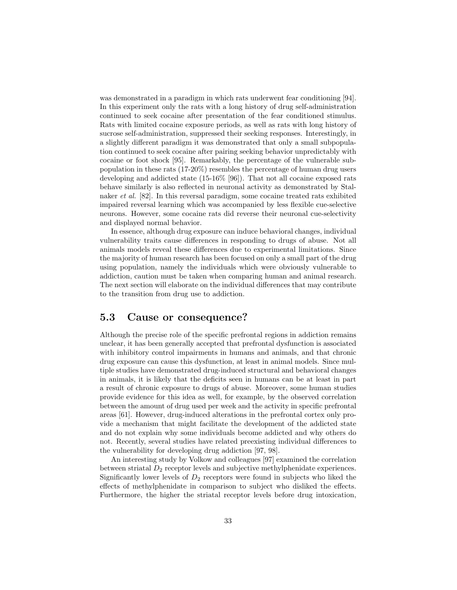was demonstrated in a paradigm in which rats underwent fear conditioning [94]. In this experiment only the rats with a long history of drug self-administration continued to seek cocaine after presentation of the fear conditioned stimulus. Rats with limited cocaine exposure periods, as well as rats with long history of sucrose self-administration, suppressed their seeking responses. Interestingly, in a slightly different paradigm it was demonstrated that only a small subpopulation continued to seek cocaine after pairing seeking behavior unpredictably with cocaine or foot shock [95]. Remarkably, the percentage of the vulnerable subpopulation in these rats (17-20%) resembles the percentage of human drug users developing and addicted state (15-16% [96]). That not all cocaine exposed rats behave similarly is also reflected in neuronal activity as demonstrated by Stalnaker et al. [82]. In this reversal paradigm, some cocaine treated rats exhibited impaired reversal learning which was accompanied by less flexible cue-selective neurons. However, some cocaine rats did reverse their neuronal cue-selectivity and displayed normal behavior.

In essence, although drug exposure can induce behavioral changes, individual vulnerability traits cause differences in responding to drugs of abuse. Not all animals models reveal these differences due to experimental limitations. Since the majority of human research has been focused on only a small part of the drug using population, namely the individuals which were obviously vulnerable to addiction, caution must be taken when comparing human and animal research. The next section will elaborate on the individual differences that may contribute to the transition from drug use to addiction.

#### 5.3 Cause or consequence?

Although the precise role of the specific prefrontal regions in addiction remains unclear, it has been generally accepted that prefrontal dysfunction is associated with inhibitory control impairments in humans and animals, and that chronic drug exposure can cause this dysfunction, at least in animal models. Since multiple studies have demonstrated drug-induced structural and behavioral changes in animals, it is likely that the deficits seen in humans can be at least in part a result of chronic exposure to drugs of abuse. Moreover, some human studies provide evidence for this idea as well, for example, by the observed correlation between the amount of drug used per week and the activity in specific prefrontal areas [61]. However, drug-induced alterations in the prefrontal cortex only provide a mechanism that might facilitate the development of the addicted state and do not explain why some individuals become addicted and why others do not. Recently, several studies have related preexisting individual differences to the vulnerability for developing drug addiction [97, 98].

An interesting study by Volkow and colleagues [97] examined the correlation between striatal  $D_2$  receptor levels and subjective methylphenidate experiences. Significantly lower levels of  $D_2$  receptors were found in subjects who liked the effects of methylphenidate in comparison to subject who disliked the effects. Furthermore, the higher the striatal receptor levels before drug intoxication,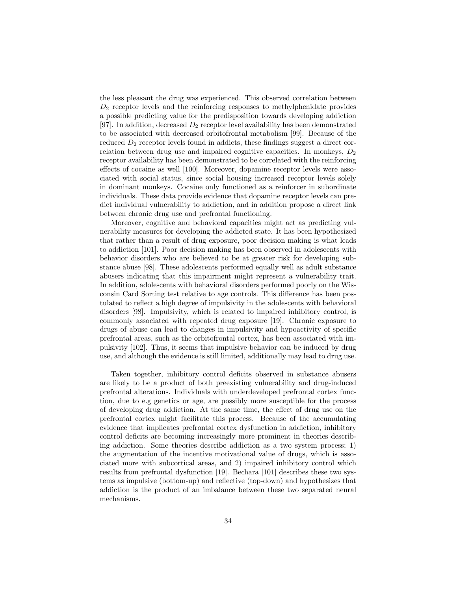the less pleasant the drug was experienced. This observed correlation between  $D_2$  receptor levels and the reinforcing responses to methylphenidate provides a possible predicting value for the predisposition towards developing addiction [97]. In addition, decreased  $D_2$  receptor level availability has been demonstrated to be associated with decreased orbitofrontal metabolism [99]. Because of the reduced  $D_2$  receptor levels found in addicts, these findings suggest a direct correlation between drug use and impaired cognitive capacities. In monkeys,  $D_2$ receptor availability has been demonstrated to be correlated with the reinforcing effects of cocaine as well [100]. Moreover, dopamine receptor levels were associated with social status, since social housing increased receptor levels solely in dominant monkeys. Cocaine only functioned as a reinforcer in subordinate individuals. These data provide evidence that dopamine receptor levels can predict individual vulnerability to addiction, and in addition propose a direct link between chronic drug use and prefrontal functioning.

Moreover, cognitive and behavioral capacities might act as predicting vulnerability measures for developing the addicted state. It has been hypothesized that rather than a result of drug exposure, poor decision making is what leads to addiction [101]. Poor decision making has been observed in adolescents with behavior disorders who are believed to be at greater risk for developing substance abuse [98]. These adolescents performed equally well as adult substance abusers indicating that this impairment might represent a vulnerability trait. In addition, adolescents with behavioral disorders performed poorly on the Wisconsin Card Sorting test relative to age controls. This difference has been postulated to reflect a high degree of impulsivity in the adolescents with behavioral disorders [98]. Impulsivity, which is related to impaired inhibitory control, is commonly associated with repeated drug exposure [19]. Chronic exposure to drugs of abuse can lead to changes in impulsivity and hypoactivity of specific prefrontal areas, such as the orbitofrontal cortex, has been associated with impulsivity [102]. Thus, it seems that impulsive behavior can be induced by drug use, and although the evidence is still limited, additionally may lead to drug use.

Taken together, inhibitory control deficits observed in substance abusers are likely to be a product of both preexisting vulnerability and drug-induced prefrontal alterations. Individuals with underdeveloped prefrontal cortex function, due to e.g genetics or age, are possibly more susceptible for the process of developing drug addiction. At the same time, the effect of drug use on the prefrontal cortex might facilitate this process. Because of the accumulating evidence that implicates prefrontal cortex dysfunction in addiction, inhibitory control deficits are becoming increasingly more prominent in theories describing addiction. Some theories describe addiction as a two system process; 1) the augmentation of the incentive motivational value of drugs, which is associated more with subcortical areas, and 2) impaired inhibitory control which results from prefrontal dysfunction [19]. Bechara [101] describes these two systems as impulsive (bottom-up) and reflective (top-down) and hypothesizes that addiction is the product of an imbalance between these two separated neural mechanisms.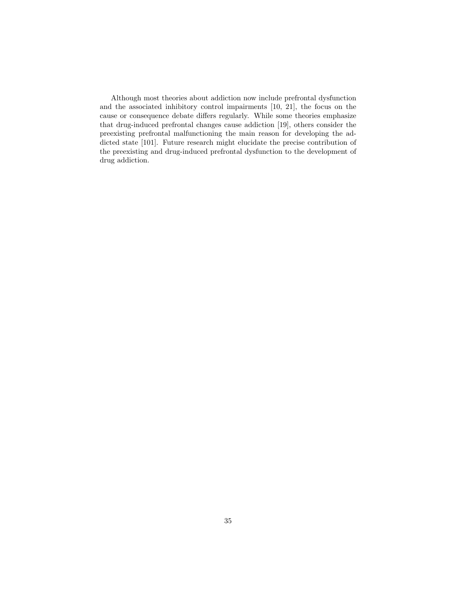Although most theories about addiction now include prefrontal dysfunction and the associated inhibitory control impairments [10, 21], the focus on the cause or consequence debate differs regularly. While some theories emphasize that drug-induced prefrontal changes cause addiction [19], others consider the preexisting prefrontal malfunctioning the main reason for developing the addicted state [101]. Future research might elucidate the precise contribution of the preexisting and drug-induced prefrontal dysfunction to the development of drug addiction.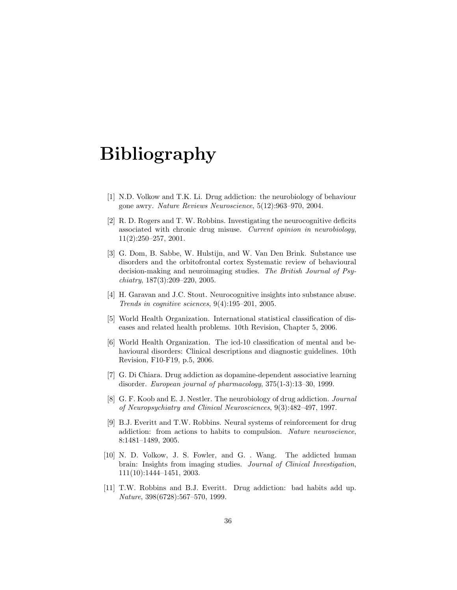## Bibliography

- [1] N.D. Volkow and T.K. Li. Drug addiction: the neurobiology of behaviour gone awry. Nature Reviews Neuroscience, 5(12):963–970, 2004.
- [2] R. D. Rogers and T. W. Robbins. Investigating the neurocognitive deficits associated with chronic drug misuse. Current opinion in neurobiology, 11(2):250–257, 2001.
- [3] G. Dom, B. Sabbe, W. Hulstijn, and W. Van Den Brink. Substance use disorders and the orbitofrontal cortex Systematic review of behavioural decision-making and neuroimaging studies. The British Journal of Psychiatry, 187(3):209–220, 2005.
- [4] H. Garavan and J.C. Stout. Neurocognitive insights into substance abuse. Trends in cognitive sciences, 9(4):195–201, 2005.
- [5] World Health Organization. International statistical classification of diseases and related health problems. 10th Revision, Chapter 5, 2006.
- [6] World Health Organization. The icd-10 classification of mental and behavioural disorders: Clinical descriptions and diagnostic guidelines. 10th Revision, F10-F19, p.5, 2006.
- [7] G. Di Chiara. Drug addiction as dopamine-dependent associative learning disorder. European journal of pharmacology, 375(1-3):13–30, 1999.
- [8] G. F. Koob and E. J. Nestler. The neurobiology of drug addiction. Journal of Neuropsychiatry and Clinical Neurosciences, 9(3):482–497, 1997.
- [9] B.J. Everitt and T.W. Robbins. Neural systems of reinforcement for drug addiction: from actions to habits to compulsion. Nature neuroscience, 8:1481–1489, 2005.
- [10] N. D. Volkow, J. S. Fowler, and G. . Wang. The addicted human brain: Insights from imaging studies. Journal of Clinical Investigation, 111(10):1444–1451, 2003.
- [11] T.W. Robbins and B.J. Everitt. Drug addiction: bad habits add up. Nature, 398(6728):567–570, 1999.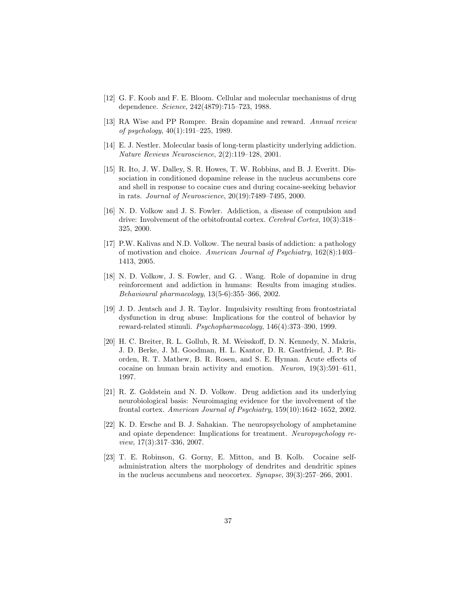- [12] G. F. Koob and F. E. Bloom. Cellular and molecular mechanisms of drug dependence. Science, 242(4879):715–723, 1988.
- [13] RA Wise and PP Rompre. Brain dopamine and reward. Annual review of psychology, 40(1):191–225, 1989.
- [14] E. J. Nestler. Molecular basis of long-term plasticity underlying addiction. Nature Reviews Neuroscience, 2(2):119–128, 2001.
- [15] R. Ito, J. W. Dalley, S. R. Howes, T. W. Robbins, and B. J. Everitt. Dissociation in conditioned dopamine release in the nucleus accumbens core and shell in response to cocaine cues and during cocaine-seeking behavior in rats. Journal of Neuroscience, 20(19):7489–7495, 2000.
- [16] N. D. Volkow and J. S. Fowler. Addiction, a disease of compulsion and drive: Involvement of the orbitofrontal cortex. Cerebral Cortex, 10(3):318– 325, 2000.
- [17] P.W. Kalivas and N.D. Volkow. The neural basis of addiction: a pathology of motivation and choice. American Journal of Psychiatry, 162(8):1403– 1413, 2005.
- [18] N. D. Volkow, J. S. Fowler, and G. . Wang. Role of dopamine in drug reinforcement and addiction in humans: Results from imaging studies. Behavioural pharmacology, 13(5-6):355–366, 2002.
- [19] J. D. Jentsch and J. R. Taylor. Impulsivity resulting from frontostriatal dysfunction in drug abuse: Implications for the control of behavior by reward-related stimuli. Psychopharmacology, 146(4):373–390, 1999.
- [20] H. C. Breiter, R. L. Gollub, R. M. Weisskoff, D. N. Kennedy, N. Makris, J. D. Berke, J. M. Goodman, H. L. Kantor, D. R. Gastfriend, J. P. Riorden, R. T. Mathew, B. R. Rosen, and S. E. Hyman. Acute effects of cocaine on human brain activity and emotion. Neuron, 19(3):591–611, 1997.
- [21] R. Z. Goldstein and N. D. Volkow. Drug addiction and its underlying neurobiological basis: Neuroimaging evidence for the involvement of the frontal cortex. American Journal of Psychiatry, 159(10):1642–1652, 2002.
- [22] K. D. Ersche and B. J. Sahakian. The neuropsychology of amphetamine and opiate dependence: Implications for treatment. Neuropsychology review, 17(3):317–336, 2007.
- [23] T. E. Robinson, G. Gorny, E. Mitton, and B. Kolb. Cocaine selfadministration alters the morphology of dendrites and dendritic spines in the nucleus accumbens and neocortex. Synapse, 39(3):257–266, 2001.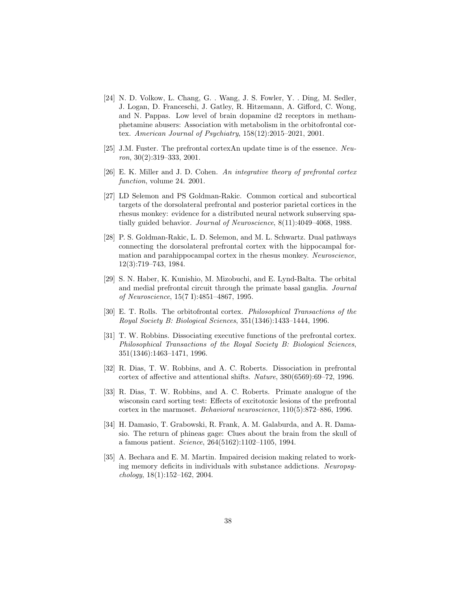- [24] N. D. Volkow, L. Chang, G. . Wang, J. S. Fowler, Y. . Ding, M. Sedler, J. Logan, D. Franceschi, J. Gatley, R. Hitzemann, A. Gifford, C. Wong, and N. Pappas. Low level of brain dopamine d2 receptors in methamphetamine abusers: Association with metabolism in the orbitofrontal cortex. American Journal of Psychiatry, 158(12):2015–2021, 2001.
- [25] J.M. Fuster. The prefrontal cortexAn update time is of the essence. Neu $ron, 30(2):319-333, 2001.$
- [26] E. K. Miller and J. D. Cohen. An integrative theory of prefrontal cortex function, volume 24. 2001.
- [27] LD Selemon and PS Goldman-Rakic. Common cortical and subcortical targets of the dorsolateral prefrontal and posterior parietal cortices in the rhesus monkey: evidence for a distributed neural network subserving spatially guided behavior. Journal of Neuroscience, 8(11):4049–4068, 1988.
- [28] P. S. Goldman-Rakic, L. D. Selemon, and M. L. Schwartz. Dual pathways connecting the dorsolateral prefrontal cortex with the hippocampal formation and parahippocampal cortex in the rhesus monkey. Neuroscience, 12(3):719–743, 1984.
- [29] S. N. Haber, K. Kunishio, M. Mizobuchi, and E. Lynd-Balta. The orbital and medial prefrontal circuit through the primate basal ganglia. Journal of Neuroscience, 15(7 I):4851–4867, 1995.
- [30] E. T. Rolls. The orbitofrontal cortex. Philosophical Transactions of the Royal Society B: Biological Sciences, 351(1346):1433–1444, 1996.
- [31] T. W. Robbins. Dissociating executive functions of the prefrontal cortex. Philosophical Transactions of the Royal Society B: Biological Sciences, 351(1346):1463–1471, 1996.
- [32] R. Dias, T. W. Robbins, and A. C. Roberts. Dissociation in prefrontal cortex of affective and attentional shifts. Nature, 380(6569):69–72, 1996.
- [33] R. Dias, T. W. Robbins, and A. C. Roberts. Primate analogue of the wisconsin card sorting test: Effects of excitotoxic lesions of the prefrontal cortex in the marmoset. Behavioral neuroscience, 110(5):872–886, 1996.
- [34] H. Damasio, T. Grabowski, R. Frank, A. M. Galaburda, and A. R. Damasio. The return of phineas gage: Clues about the brain from the skull of a famous patient. Science, 264(5162):1102–1105, 1994.
- [35] A. Bechara and E. M. Martin. Impaired decision making related to working memory deficits in individuals with substance addictions. Neuropsychology, 18(1):152–162, 2004.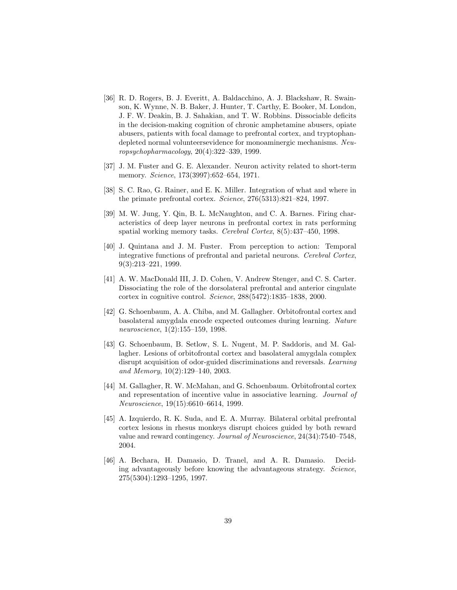- [36] R. D. Rogers, B. J. Everitt, A. Baldacchino, A. J. Blackshaw, R. Swainson, K. Wynne, N. B. Baker, J. Hunter, T. Carthy, E. Booker, M. London, J. F. W. Deakin, B. J. Sahakian, and T. W. Robbins. Dissociable deficits in the decision-making cognition of chronic amphetamine abusers, opiate abusers, patients with focal damage to prefrontal cortex, and tryptophandepleted normal volunteersevidence for monoaminergic mechanisms. Neuropsychopharmacology, 20(4):322–339, 1999.
- [37] J. M. Fuster and G. E. Alexander. Neuron activity related to short-term memory. Science, 173(3997):652–654, 1971.
- [38] S. C. Rao, G. Rainer, and E. K. Miller. Integration of what and where in the primate prefrontal cortex. Science, 276(5313):821–824, 1997.
- [39] M. W. Jung, Y. Qin, B. L. McNaughton, and C. A. Barnes. Firing characteristics of deep layer neurons in prefrontal cortex in rats performing spatial working memory tasks. Cerebral Cortex, 8(5):437–450, 1998.
- [40] J. Quintana and J. M. Fuster. From perception to action: Temporal integrative functions of prefrontal and parietal neurons. Cerebral Cortex, 9(3):213–221, 1999.
- [41] A. W. MacDonald III, J. D. Cohen, V. Andrew Stenger, and C. S. Carter. Dissociating the role of the dorsolateral prefrontal and anterior cingulate cortex in cognitive control. Science, 288(5472):1835–1838, 2000.
- [42] G. Schoenbaum, A. A. Chiba, and M. Gallagher. Orbitofrontal cortex and basolateral amygdala encode expected outcomes during learning. Nature neuroscience, 1(2):155–159, 1998.
- [43] G. Schoenbaum, B. Setlow, S. L. Nugent, M. P. Saddoris, and M. Gallagher. Lesions of orbitofrontal cortex and basolateral amygdala complex disrupt acquisition of odor-guided discriminations and reversals. Learning and Memory, 10(2):129–140, 2003.
- [44] M. Gallagher, R. W. McMahan, and G. Schoenbaum. Orbitofrontal cortex and representation of incentive value in associative learning. Journal of Neuroscience, 19(15):6610–6614, 1999.
- [45] A. Izquierdo, R. K. Suda, and E. A. Murray. Bilateral orbital prefrontal cortex lesions in rhesus monkeys disrupt choices guided by both reward value and reward contingency. Journal of Neuroscience, 24(34):7540–7548, 2004.
- [46] A. Bechara, H. Damasio, D. Tranel, and A. R. Damasio. Deciding advantageously before knowing the advantageous strategy. Science, 275(5304):1293–1295, 1997.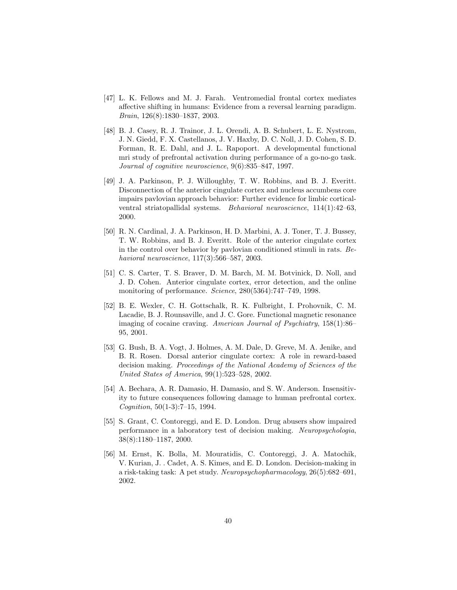- [47] L. K. Fellows and M. J. Farah. Ventromedial frontal cortex mediates affective shifting in humans: Evidence from a reversal learning paradigm. Brain, 126(8):1830–1837, 2003.
- [48] B. J. Casey, R. J. Trainor, J. L. Orendi, A. B. Schubert, L. E. Nystrom, J. N. Giedd, F. X. Castellanos, J. V. Haxby, D. C. Noll, J. D. Cohen, S. D. Forman, R. E. Dahl, and J. L. Rapoport. A developmental functional mri study of prefrontal activation during performance of a go-no-go task. Journal of cognitive neuroscience, 9(6):835–847, 1997.
- [49] J. A. Parkinson, P. J. Willoughby, T. W. Robbins, and B. J. Everitt. Disconnection of the anterior cingulate cortex and nucleus accumbens core impairs pavlovian approach behavior: Further evidence for limbic corticalventral striatopallidal systems. Behavioral neuroscience, 114(1):42–63, 2000.
- [50] R. N. Cardinal, J. A. Parkinson, H. D. Marbini, A. J. Toner, T. J. Bussey, T. W. Robbins, and B. J. Everitt. Role of the anterior cingulate cortex in the control over behavior by pavlovian conditioned stimuli in rats. Behavioral neuroscience, 117(3):566–587, 2003.
- [51] C. S. Carter, T. S. Braver, D. M. Barch, M. M. Botvinick, D. Noll, and J. D. Cohen. Anterior cingulate cortex, error detection, and the online monitoring of performance. Science, 280(5364):747–749, 1998.
- [52] B. E. Wexler, C. H. Gottschalk, R. K. Fulbright, I. Prohovnik, C. M. Lacadie, B. J. Rounsaville, and J. C. Gore. Functional magnetic resonance imaging of cocaine craving. American Journal of Psychiatry, 158(1):86– 95, 2001.
- [53] G. Bush, B. A. Vogt, J. Holmes, A. M. Dale, D. Greve, M. A. Jenike, and B. R. Rosen. Dorsal anterior cingulate cortex: A role in reward-based decision making. Proceedings of the National Academy of Sciences of the United States of America, 99(1):523–528, 2002.
- [54] A. Bechara, A. R. Damasio, H. Damasio, and S. W. Anderson. Insensitivity to future consequences following damage to human prefrontal cortex. Cognition, 50(1-3):7–15, 1994.
- [55] S. Grant, C. Contoreggi, and E. D. London. Drug abusers show impaired performance in a laboratory test of decision making. Neuropsychologia, 38(8):1180–1187, 2000.
- [56] M. Ernst, K. Bolla, M. Mouratidis, C. Contoreggi, J. A. Matochik, V. Kurian, J. . Cadet, A. S. Kimes, and E. D. London. Decision-making in a risk-taking task: A pet study. Neuropsychopharmacology, 26(5):682–691, 2002.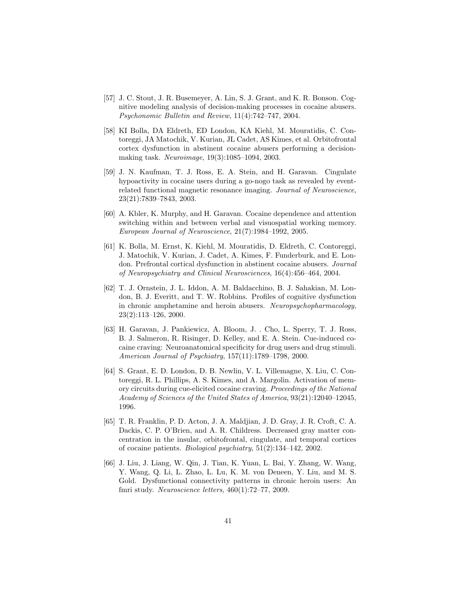- [57] J. C. Stout, J. R. Busemeyer, A. Lin, S. J. Grant, and K. R. Bonson. Cognitive modeling analysis of decision-making processes in cocaine abusers. Psychonomic Bulletin and Review, 11(4):742–747, 2004.
- [58] KI Bolla, DA Eldreth, ED London, KA Kiehl, M. Mouratidis, C. Contoreggi, JA Matochik, V. Kurian, JL Cadet, AS Kimes, et al. Orbitofrontal cortex dysfunction in abstinent cocaine abusers performing a decisionmaking task. Neuroimage, 19(3):1085–1094, 2003.
- [59] J. N. Kaufman, T. J. Ross, E. A. Stein, and H. Garavan. Cingulate hypoactivity in cocaine users during a go-nogo task as revealed by eventrelated functional magnetic resonance imaging. Journal of Neuroscience, 23(21):7839–7843, 2003.
- [60] A. Kbler, K. Murphy, and H. Garavan. Cocaine dependence and attention switching within and between verbal and visuospatial working memory. European Journal of Neuroscience, 21(7):1984–1992, 2005.
- [61] K. Bolla, M. Ernst, K. Kiehl, M. Mouratidis, D. Eldreth, C. Contoreggi, J. Matochik, V. Kurian, J. Cadet, A. Kimes, F. Funderburk, and E. London. Prefrontal cortical dysfunction in abstinent cocaine abusers. Journal of Neuropsychiatry and Clinical Neurosciences, 16(4):456–464, 2004.
- [62] T. J. Ornstein, J. L. Iddon, A. M. Baldacchino, B. J. Sahakian, M. London, B. J. Everitt, and T. W. Robbins. Profiles of cognitive dysfunction in chronic amphetamine and heroin abusers. Neuropsychopharmacology, 23(2):113–126, 2000.
- [63] H. Garavan, J. Pankiewicz, A. Bloom, J. . Cho, L. Sperry, T. J. Ross, B. J. Salmeron, R. Risinger, D. Kelley, and E. A. Stein. Cue-induced cocaine craving: Neuroanatomical specificity for drug users and drug stimuli. American Journal of Psychiatry, 157(11):1789–1798, 2000.
- [64] S. Grant, E. D. London, D. B. Newlin, V. L. Villemagne, X. Liu, C. Contoreggi, R. L. Phillips, A. S. Kimes, and A. Margolin. Activation of memory circuits during cue-elicited cocaine craving. Proceedings of the National Academy of Sciences of the United States of America, 93(21):12040–12045, 1996.
- [65] T. R. Franklin, P. D. Acton, J. A. Maldjian, J. D. Gray, J. R. Croft, C. A. Dackis, C. P. O'Brien, and A. R. Childress. Decreased gray matter concentration in the insular, orbitofrontal, cingulate, and temporal cortices of cocaine patients. Biological psychiatry, 51(2):134–142, 2002.
- [66] J. Liu, J. Liang, W. Qin, J. Tian, K. Yuan, L. Bai, Y. Zhang, W. Wang, Y. Wang, Q. Li, L. Zhao, L. Lu, K. M. von Deneen, Y. Liu, and M. S. Gold. Dysfunctional connectivity patterns in chronic heroin users: An fmri study. Neuroscience letters, 460(1):72–77, 2009.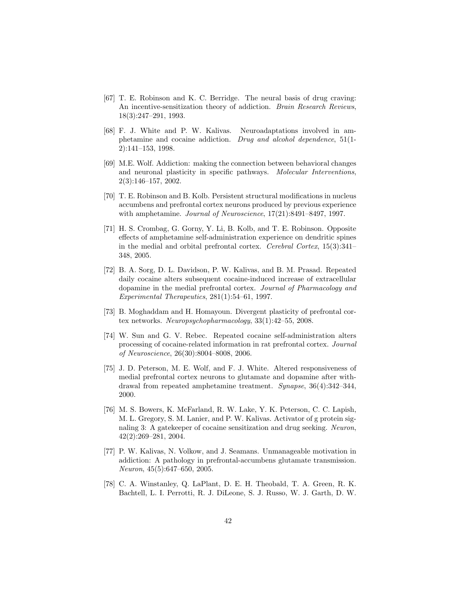- [67] T. E. Robinson and K. C. Berridge. The neural basis of drug craving: An incentive-sensitization theory of addiction. Brain Research Reviews, 18(3):247–291, 1993.
- [68] F. J. White and P. W. Kalivas. Neuroadaptations involved in amphetamine and cocaine addiction. Drug and alcohol dependence, 51(1- 2):141–153, 1998.
- [69] M.E. Wolf. Addiction: making the connection between behavioral changes and neuronal plasticity in specific pathways. Molecular Interventions, 2(3):146–157, 2002.
- [70] T. E. Robinson and B. Kolb. Persistent structural modifications in nucleus accumbens and prefrontal cortex neurons produced by previous experience with amphetamine. *Journal of Neuroscience*,  $17(21):8491-8497$ , 1997.
- [71] H. S. Crombag, G. Gorny, Y. Li, B. Kolb, and T. E. Robinson. Opposite effects of amphetamine self-administration experience on dendritic spines in the medial and orbital prefrontal cortex. Cerebral Cortex, 15(3):341– 348, 2005.
- [72] B. A. Sorg, D. L. Davidson, P. W. Kalivas, and B. M. Prasad. Repeated daily cocaine alters subsequent cocaine-induced increase of extracellular dopamine in the medial prefrontal cortex. Journal of Pharmacology and Experimental Therapeutics, 281(1):54–61, 1997.
- [73] B. Moghaddam and H. Homayoun. Divergent plasticity of prefrontal cortex networks. Neuropsychopharmacology, 33(1):42–55, 2008.
- [74] W. Sun and G. V. Rebec. Repeated cocaine self-administration alters processing of cocaine-related information in rat prefrontal cortex. Journal of Neuroscience, 26(30):8004–8008, 2006.
- [75] J. D. Peterson, M. E. Wolf, and F. J. White. Altered responsiveness of medial prefrontal cortex neurons to glutamate and dopamine after withdrawal from repeated amphetamine treatment. Synapse, 36(4):342–344, 2000.
- [76] M. S. Bowers, K. McFarland, R. W. Lake, Y. K. Peterson, C. C. Lapish, M. L. Gregory, S. M. Lanier, and P. W. Kalivas. Activator of g protein signaling 3: A gatekeeper of cocaine sensitization and drug seeking. Neuron, 42(2):269–281, 2004.
- [77] P. W. Kalivas, N. Volkow, and J. Seamans. Unmanageable motivation in addiction: A pathology in prefrontal-accumbens glutamate transmission. Neuron, 45(5):647–650, 2005.
- [78] C. A. Winstanley, Q. LaPlant, D. E. H. Theobald, T. A. Green, R. K. Bachtell, L. I. Perrotti, R. J. DiLeone, S. J. Russo, W. J. Garth, D. W.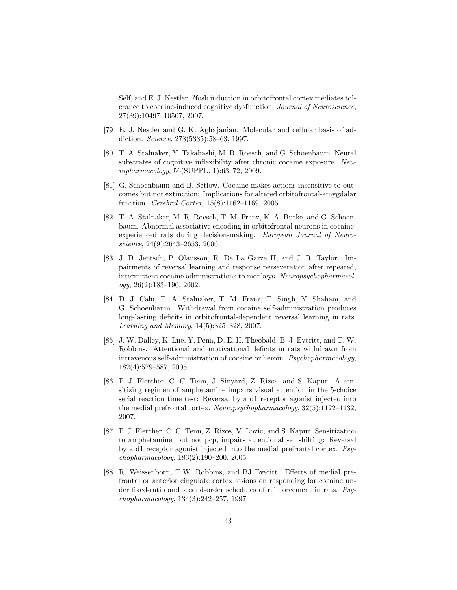Self, and E. J. Nestler. ?fosb induction in orbitofrontal cortex mediates tolerance to cocaine-induced cognitive dysfunction. Journal of Neuroscience, 27(39):10497–10507, 2007.

- [79] E. J. Nestler and G. K. Aghajanian. Molecular and cellular basis of addiction. Science, 278(5335):58–63, 1997.
- [80] T. A. Stalnaker, Y. Takahashi, M. R. Roesch, and G. Schoenbaum. Neural substrates of cognitive inflexibility after chronic cocaine exposure. Neuropharmacology, 56(SUPPL. 1):63–72, 2009.
- [81] G. Schoenbaum and B. Setlow. Cocaine makes actions insensitive to outcomes but not extinction: Implications for altered orbitofrontal-amygdalar function. Cerebral Cortex, 15(8):1162–1169, 2005.
- [82] T. A. Stalnaker, M. R. Roesch, T. M. Franz, K. A. Burke, and G. Schoenbaum. Abnormal associative encoding in orbitofrontal neurons in cocaineexperienced rats during decision-making. European Journal of Neuroscience, 24(9):2643–2653, 2006.
- [83] J. D. Jentsch, P. Olausson, R. De La Garza II, and J. R. Taylor. Impairments of reversal learning and response perseveration after repeated, intermittent cocaine administrations to monkeys. Neuropsychopharmacol $ogy, 26(2):183-190, 2002.$
- [84] D. J. Calu, T. A. Stalnaker, T. M. Franz, T. Singh, Y. Shaham, and G. Schoenbaum. Withdrawal from cocaine self-administration produces long-lasting deficits in orbitofrontal-dependent reversal learning in rats. Learning and Memory, 14(5):325–328, 2007.
- [85] J. W. Dalley, K. Lne, Y. Pena, D. E. H. Theobald, B. J. Everitt, and T. W. Robbins. Attentional and motivational deficits in rats withdrawn from intravenous self-administration of cocaine or heroin. Psychopharmacology, 182(4):579–587, 2005.
- [86] P. J. Fletcher, C. C. Tenn, J. Sinyard, Z. Rizos, and S. Kapur. A sensitizing regimen of amphetamine impairs visual attention in the 5-choice serial reaction time test: Reversal by a d1 receptor agonist injected into the medial prefrontal cortex. Neuropsychopharmacology, 32(5):1122–1132, 2007.
- [87] P. J. Fletcher, C. C. Tenn, Z. Rizos, V. Lovic, and S. Kapur. Sensitization to amphetamine, but not pcp, impairs attentional set shifting: Reversal by a d1 receptor agonist injected into the medial prefrontal cortex. Psychopharmacology, 183(2):190–200, 2005.
- [88] R. Weissenborn, T.W. Robbins, and BJ Everitt. Effects of medial prefrontal or anterior cingulate cortex lesions on responding for cocaine under fixed-ratio and second-order schedules of reinforcement in rats. Psychopharmacology, 134(3):242–257, 1997.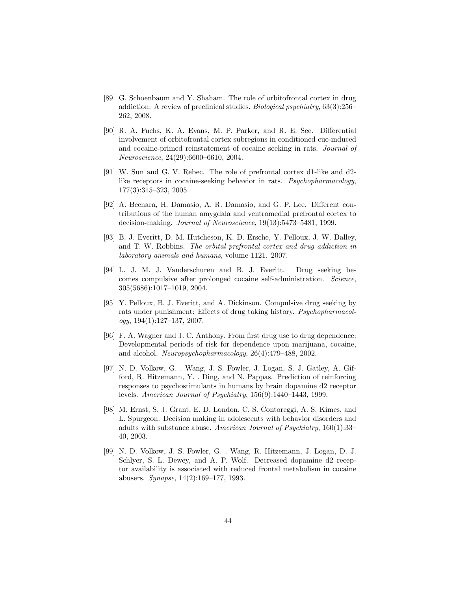- [89] G. Schoenbaum and Y. Shaham. The role of orbitofrontal cortex in drug addiction: A review of preclinical studies. Biological psychiatry, 63(3):256– 262, 2008.
- [90] R. A. Fuchs, K. A. Evans, M. P. Parker, and R. E. See. Differential involvement of orbitofrontal cortex subregions in conditioned cue-induced and cocaine-primed reinstatement of cocaine seeking in rats. Journal of Neuroscience, 24(29):6600–6610, 2004.
- [91] W. Sun and G. V. Rebec. The role of prefrontal cortex d1-like and d2 like receptors in cocaine-seeking behavior in rats. Psychopharmacology, 177(3):315–323, 2005.
- [92] A. Bechara, H. Damasio, A. R. Damasio, and G. P. Lee. Different contributions of the human amygdala and ventromedial prefrontal cortex to decision-making. Journal of Neuroscience, 19(13):5473–5481, 1999.
- [93] B. J. Everitt, D. M. Hutcheson, K. D. Ersche, Y. Pelloux, J. W. Dalley, and T. W. Robbins. The orbital prefrontal cortex and drug addiction in laboratory animals and humans, volume 1121. 2007.
- [94] L. J. M. J. Vanderschuren and B. J. Everitt. Drug seeking becomes compulsive after prolonged cocaine self-administration. Science, 305(5686):1017–1019, 2004.
- [95] Y. Pelloux, B. J. Everitt, and A. Dickinson. Compulsive drug seeking by rats under punishment: Effects of drug taking history. Psychopharmacol $oqy$ ,  $194(1):127-137$ ,  $2007$ .
- [96] F. A. Wagner and J. C. Anthony. From first drug use to drug dependence: Developmental periods of risk for dependence upon marijuana, cocaine, and alcohol. Neuropsychopharmacology, 26(4):479–488, 2002.
- [97] N. D. Volkow, G. . Wang, J. S. Fowler, J. Logan, S. J. Gatley, A. Gifford, R. Hitzemann, Y. . Ding, and N. Pappas. Prediction of reinforcing responses to psychostimulants in humans by brain dopamine d2 receptor levels. American Journal of Psychiatry, 156(9):1440–1443, 1999.
- [98] M. Ernst, S. J. Grant, E. D. London, C. S. Contoreggi, A. S. Kimes, and L. Spurgeon. Decision making in adolescents with behavior disorders and adults with substance abuse. American Journal of Psychiatry, 160(1):33– 40, 2003.
- [99] N. D. Volkow, J. S. Fowler, G. . Wang, R. Hitzemann, J. Logan, D. J. Schlyer, S. L. Dewey, and A. P. Wolf. Decreased dopamine d2 receptor availability is associated with reduced frontal metabolism in cocaine abusers. Synapse, 14(2):169–177, 1993.